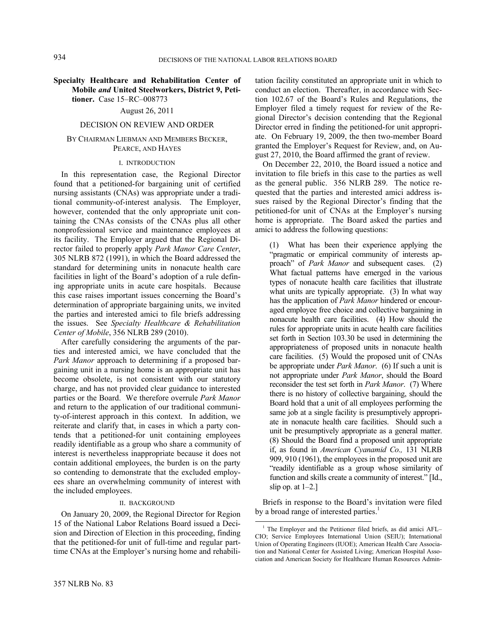## **Specialty Healthcare and Rehabilitation Center of Mobile** *and* **United Steelworkers, District 9, Petitioner.** Case 15–RC–008773

# August 26, 2011

#### DECISION ON REVIEW AND ORDER

### BY CHAIRMAN LIEBMAN AND MEMBERS BECKER, PEARCE, AND HAYES

### I. INTRODUCTION

In this representation case, the Regional Director found that a petitioned-for bargaining unit of certified nursing assistants (CNAs) was appropriate under a traditional community-of-interest analysis. The Employer, however, contended that the only appropriate unit containing the CNAs consists of the CNAs plus all other nonprofessional service and maintenance employees at its facility. The Employer argued that the Regional Director failed to properly apply *Park Manor Care Center*, 305 NLRB 872 (1991), in which the Board addressed the standard for determining units in nonacute health care facilities in light of the Board's adoption of a rule defining appropriate units in acute care hospitals. Because this case raises important issues concerning the Board's determination of appropriate bargaining units, we invited the parties and interested amici to file briefs addressing the issues. See *Specialty Healthcare & Rehabilitation Center of Mobile*, 356 NLRB 289 (2010).

After carefully considering the arguments of the parties and interested amici, we have concluded that the *Park Manor* approach to determining if a proposed bargaining unit in a nursing home is an appropriate unit has become obsolete, is not consistent with our statutory charge, and has not provided clear guidance to interested parties or the Board. We therefore overrule *Park Manor* and return to the application of our traditional community-of-interest approach in this context. In addition, we reiterate and clarify that, in cases in which a party contends that a petitioned-for unit containing employees readily identifiable as a group who share a community of interest is nevertheless inappropriate because it does not contain additional employees, the burden is on the party so contending to demonstrate that the excluded employees share an overwhelming community of interest with the included employees.

### II. BACKGROUND

On January 20, 2009, the Regional Director for Region 15 of the National Labor Relations Board issued a Decision and Direction of Election in this proceeding, finding that the petitioned-for unit of full-time and regular parttime CNAs at the Employer's nursing home and rehabilitation facility constituted an appropriate unit in which to conduct an election. Thereafter, in accordance with Section 102.67 of the Board's Rules and Regulations, the Employer filed a timely request for review of the Regional Director's decision contending that the Regional Director erred in finding the petitioned-for unit appropriate. On February 19, 2009, the then two-member Board granted the Employer's Request for Review, and, on August 27, 2010, the Board affirmed the grant of review.

On December 22, 2010, the Board issued a notice and invitation to file briefs in this case to the parties as well as the general public. 356 NLRB 289. The notice requested that the parties and interested amici address issues raised by the Regional Director's finding that the petitioned-for unit of CNAs at the Employer's nursing home is appropriate. The Board asked the parties and amici to address the following questions:

(1) What has been their experience applying the "pragmatic or empirical community of interests approach" of *Park Manor* and subsequent cases. (2) What factual patterns have emerged in the various types of nonacute health care facilities that illustrate what units are typically appropriate. (3) In what way has the application of *Park Manor* hindered or encouraged employee free choice and collective bargaining in nonacute health care facilities. (4) How should the rules for appropriate units in acute health care facilities set forth in Section 103.30 be used in determining the appropriateness of proposed units in nonacute health care facilities. (5) Would the proposed unit of CNAs be appropriate under *Park Manor*. (6) If such a unit is not appropriate under *Park Manor*, should the Board reconsider the test set forth in *Park Manor*. (7) Where there is no history of collective bargaining, should the Board hold that a unit of all employees performing the same job at a single facility is presumptively appropriate in nonacute health care facilities. Should such a unit be presumptively appropriate as a general matter. (8) Should the Board find a proposed unit appropriate if, as found in *American Cyanamid Co.,* 131 NLRB 909, 910 (1961), the employees in the proposed unit are "readily identifiable as a group whose similarity of function and skills create a community of interest." [Id., slip op. at  $1-2.1$ 

Briefs in response to the Board's invitation were filed by a broad range of interested parties.<sup>1</sup>

<sup>&</sup>lt;sup>1</sup> The Employer and the Petitioner filed briefs, as did amici AFL– CIO; Service Employees International Union (SEIU); International Union of Operating Engineers (IUOE); American Health Care Association and National Center for Assisted Living; American Hospital Association and American Society for Healthcare Human Resources Admin-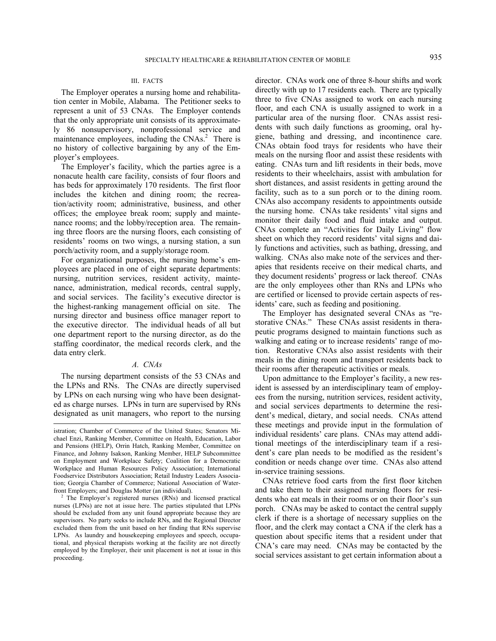### III. FACTS

The Employer operates a nursing home and rehabilitation center in Mobile, Alabama. The Petitioner seeks to represent a unit of 53 CNAs. The Employer contends that the only appropriate unit consists of its approximately 86 nonsupervisory, nonprofessional service and maintenance employees, including the CNAs.<sup>2</sup> There is no history of collective bargaining by any of the Employer's employees.

The Employer's facility, which the parties agree is a nonacute health care facility, consists of four floors and has beds for approximately 170 residents. The first floor includes the kitchen and dining room; the recreation/activity room; administrative, business, and other offices; the employee break room; supply and maintenance rooms; and the lobby/reception area. The remaining three floors are the nursing floors, each consisting of residents' rooms on two wings, a nursing station, a sun porch/activity room, and a supply/storage room.

For organizational purposes, the nursing home's employees are placed in one of eight separate departments: nursing, nutrition services, resident activity, maintenance, administration, medical records, central supply, and social services. The facility's executive director is the highest-ranking management official on site. The nursing director and business office manager report to the executive director. The individual heads of all but one department report to the nursing director, as do the staffing coordinator, the medical records clerk, and the data entry clerk.

### *A. CNAs*

The nursing department consists of the 53 CNAs and the LPNs and RNs. The CNAs are directly supervised by LPNs on each nursing wing who have been designated as charge nurses. LPNs in turn are supervised by RNs designated as unit managers, who report to the nursing

l

director. CNAs work one of three 8-hour shifts and work directly with up to 17 residents each. There are typically three to five CNAs assigned to work on each nursing floor, and each CNA is usually assigned to work in a particular area of the nursing floor. CNAs assist residents with such daily functions as grooming, oral hygiene, bathing and dressing, and incontinence care. CNAs obtain food trays for residents who have their meals on the nursing floor and assist these residents with eating. CNAs turn and lift residents in their beds, move residents to their wheelchairs, assist with ambulation for short distances, and assist residents in getting around the facility, such as to a sun porch or to the dining room. CNAs also accompany residents to appointments outside the nursing home. CNAs take residents' vital signs and monitor their daily food and fluid intake and output. CNAs complete an "Activities for Daily Living" flow sheet on which they record residents' vital signs and daily functions and activities, such as bathing, dressing, and walking. CNAs also make note of the services and therapies that residents receive on their medical charts, and they document residents' progress or lack thereof. CNAs are the only employees other than RNs and LPNs who are certified or licensed to provide certain aspects of residents' care, such as feeding and positioning.

The Employer has designated several CNAs as "restorative CNAs." These CNAs assist residents in therapeutic programs designed to maintain functions such as walking and eating or to increase residents' range of motion. Restorative CNAs also assist residents with their meals in the dining room and transport residents back to their rooms after therapeutic activities or meals.

Upon admittance to the Employer's facility, a new resident is assessed by an interdisciplinary team of employees from the nursing, nutrition services, resident activity, and social services departments to determine the resident's medical, dietary, and social needs. CNAs attend these meetings and provide input in the formulation of individual residents' care plans. CNAs may attend additional meetings of the interdisciplinary team if a resident's care plan needs to be modified as the resident's condition or needs change over time. CNAs also attend in-service training sessions.

CNAs retrieve food carts from the first floor kitchen and take them to their assigned nursing floors for residents who eat meals in their rooms or on their floor's sun porch. CNAs may be asked to contact the central supply clerk if there is a shortage of necessary supplies on the floor, and the clerk may contact a CNA if the clerk has a question about specific items that a resident under that CNA's care may need. CNAs may be contacted by the social services assistant to get certain information about a

istration; Chamber of Commerce of the United States; Senators Michael Enzi, Ranking Member, Committee on Health, Education, Labor and Pensions (HELP), Orrin Hatch, Ranking Member, Committee on Finance, and Johnny Isakson, Ranking Member, HELP Subcommittee on Employment and Workplace Safety; Coalition for a Democratic Workplace and Human Resources Policy Association; International Foodservice Distributors Association; Retail Industry Leaders Association; Georgia Chamber of Commerce; National Association of Waterfront Employers; and Douglas Motter (an individual). 2

<sup>&</sup>lt;sup>2</sup> The Employer's registered nurses (RNs) and licensed practical nurses (LPNs) are not at issue here. The parties stipulated that LPNs should be excluded from any unit found appropriate because they are supervisors. No party seeks to include RNs, and the Regional Director excluded them from the unit based on her finding that RNs supervise LPNs. As laundry and housekeeping employees and speech, occupational, and physical therapists working at the facility are not directly employed by the Employer, their unit placement is not at issue in this proceeding.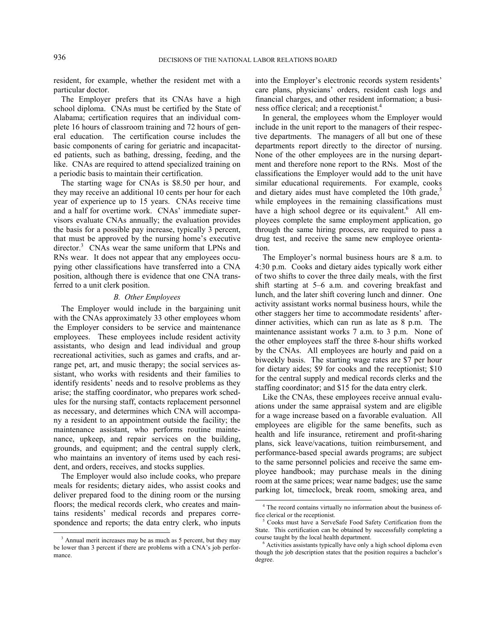resident, for example, whether the resident met with a particular doctor.

The Employer prefers that its CNAs have a high school diploma. CNAs must be certified by the State of Alabama; certification requires that an individual complete 16 hours of classroom training and 72 hours of general education. The certification course includes the basic components of caring for geriatric and incapacitated patients, such as bathing, dressing, feeding, and the like. CNAs are required to attend specialized training on a periodic basis to maintain their certification.

The starting wage for CNAs is \$8.50 per hour, and they may receive an additional 10 cents per hour for each year of experience up to 15 years. CNAs receive time and a half for overtime work. CNAs' immediate supervisors evaluate CNAs annually; the evaluation provides the basis for a possible pay increase, typically 3 percent, that must be approved by the nursing home's executive director.<sup>3</sup> CNAs wear the same uniform that LPNs and RNs wear. It does not appear that any employees occupying other classifications have transferred into a CNA position, although there is evidence that one CNA transferred to a unit clerk position.

### *B. Other Employees*

The Employer would include in the bargaining unit with the CNAs approximately 33 other employees whom the Employer considers to be service and maintenance employees. These employees include resident activity assistants, who design and lead individual and group recreational activities, such as games and crafts, and arrange pet, art, and music therapy; the social services assistant, who works with residents and their families to identify residents' needs and to resolve problems as they arise; the staffing coordinator, who prepares work schedules for the nursing staff, contacts replacement personnel as necessary, and determines which CNA will accompany a resident to an appointment outside the facility; the maintenance assistant, who performs routine maintenance, upkeep, and repair services on the building, grounds, and equipment; and the central supply clerk, who maintains an inventory of items used by each resident, and orders, receives, and stocks supplies.

The Employer would also include cooks, who prepare meals for residents; dietary aides, who assist cooks and deliver prepared food to the dining room or the nursing floors; the medical records clerk, who creates and maintains residents' medical records and prepares correspondence and reports; the data entry clerk, who inputs into the Employer's electronic records system residents' care plans, physicians' orders, resident cash logs and financial charges, and other resident information; a business office clerical; and a receptionist.<sup>4</sup>

In general, the employees whom the Employer would include in the unit report to the managers of their respective departments. The managers of all but one of these departments report directly to the director of nursing. None of the other employees are in the nursing department and therefore none report to the RNs. Most of the classifications the Employer would add to the unit have similar educational requirements. For example, cooks and dietary aides must have completed the 10th grade, $\frac{5}{3}$ while employees in the remaining classifications must have a high school degree or its equivalent.<sup>6</sup> All employees complete the same employment application, go through the same hiring process, are required to pass a drug test, and receive the same new employee orientation.

The Employer's normal business hours are 8 a.m. to 4:30 p.m. Cooks and dietary aides typically work either of two shifts to cover the three daily meals, with the first shift starting at 5–6 a.m. and covering breakfast and lunch, and the later shift covering lunch and dinner. One activity assistant works normal business hours, while the other staggers her time to accommodate residents' afterdinner activities, which can run as late as 8 p.m. The maintenance assistant works 7 a.m. to 3 p.m. None of the other employees staff the three 8-hour shifts worked by the CNAs. All employees are hourly and paid on a biweekly basis. The starting wage rates are \$7 per hour for dietary aides; \$9 for cooks and the receptionist; \$10 for the central supply and medical records clerks and the staffing coordinator; and \$15 for the data entry clerk.

Like the CNAs, these employees receive annual evaluations under the same appraisal system and are eligible for a wage increase based on a favorable evaluation. All employees are eligible for the same benefits, such as health and life insurance, retirement and profit-sharing plans, sick leave/vacations, tuition reimbursement, and performance-based special awards programs; are subject to the same personnel policies and receive the same employee handbook; may purchase meals in the dining room at the same prices; wear name badges; use the same parking lot, timeclock, break room, smoking area, and

 $\frac{3}{\sqrt{3}}$  Annual merit increases may be as much as 5 percent, but they may be lower than 3 percent if there are problems with a CNA's job performance.

 <sup>4</sup> The record contains virtually no information about the business office clerical or the receptionist.

Cooks must have a ServeSafe Food Safety Certification from the State. This certification can be obtained by successfully completing a course taught by the local health department.

Activities assistants typically have only a high school diploma even though the job description states that the position requires a bachelor's degree.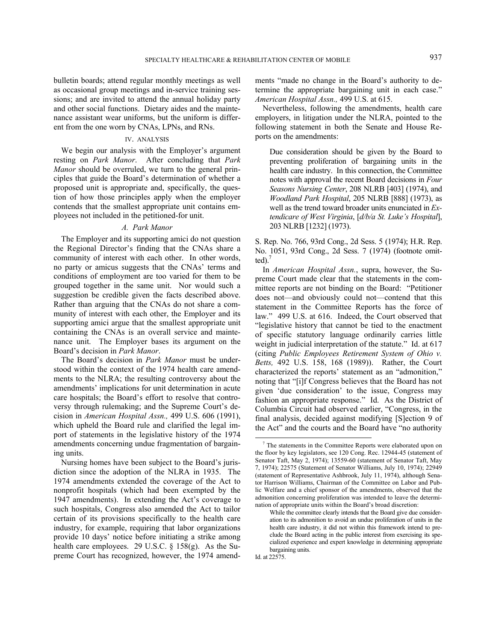bulletin boards; attend regular monthly meetings as well as occasional group meetings and in-service training sessions; and are invited to attend the annual holiday party and other social functions. Dietary aides and the maintenance assistant wear uniforms, but the uniform is different from the one worn by CNAs, LPNs, and RNs.

## IV. ANALYSIS

We begin our analysis with the Employer's argument resting on *Park Manor*. After concluding that *Park Manor* should be overruled, we turn to the general principles that guide the Board's determination of whether a proposed unit is appropriate and, specifically, the question of how those principles apply when the employer contends that the smallest appropriate unit contains employees not included in the petitioned-for unit.

### *A. Park Manor*

The Employer and its supporting amici do not question the Regional Director's finding that the CNAs share a community of interest with each other. In other words, no party or amicus suggests that the CNAs' terms and conditions of employment are too varied for them to be grouped together in the same unit. Nor would such a suggestion be credible given the facts described above. Rather than arguing that the CNAs do not share a community of interest with each other, the Employer and its supporting amici argue that the smallest appropriate unit containing the CNAs is an overall service and maintenance unit. The Employer bases its argument on the Board's decision in *Park Manor*.

The Board's decision in *Park Manor* must be understood within the context of the 1974 health care amendments to the NLRA; the resulting controversy about the amendments' implications for unit determination in acute care hospitals; the Board's effort to resolve that controversy through rulemaking; and the Supreme Court's decision in *American Hospital Assn.,* 499 U.S. 606 (1991), which upheld the Board rule and clarified the legal import of statements in the legislative history of the 1974 amendments concerning undue fragmentation of bargaining units.

Nursing homes have been subject to the Board's jurisdiction since the adoption of the NLRA in 1935. The 1974 amendments extended the coverage of the Act to nonprofit hospitals (which had been exempted by the 1947 amendments). In extending the Act's coverage to such hospitals, Congress also amended the Act to tailor certain of its provisions specifically to the health care industry, for example, requiring that labor organizations provide 10 days' notice before initiating a strike among health care employees. 29 U.S.C. § 158(g). As the Supreme Court has recognized, however, the 1974 amendments "made no change in the Board's authority to determine the appropriate bargaining unit in each case." *American Hospital Assn.,* 499 U.S. at 615.

Nevertheless, following the amendments, health care employers, in litigation under the NLRA, pointed to the following statement in both the Senate and House Reports on the amendments:

Due consideration should be given by the Board to preventing proliferation of bargaining units in the health care industry. In this connection, the Committee notes with approval the recent Board decisions in *Four Seasons Nursing Center*, 208 NLRB [403] (1974), and *Woodland Park Hospital*, 205 NLRB [888] (1973), as well as the trend toward broader units enunciated in *Extendicare of West Virginia*, [*d/b/a St. Luke's Hospital*], 203 NLRB [1232] (1973).

S. Rep. No. 766, 93rd Cong., 2d Sess. 5 (1974); H.R. Rep. No. 1051, 93rd Cong., 2d Sess. 7 (1974) (footnote omitted).7

In *American Hospital Assn.*, supra, however, the Supreme Court made clear that the statements in the committee reports are not binding on the Board: "Petitioner does not—and obviously could not—contend that this statement in the Committee Reports has the force of law." 499 U.S. at 616. Indeed, the Court observed that "legislative history that cannot be tied to the enactment of specific statutory language ordinarily carries little weight in judicial interpretation of the statute." Id. at 617 (citing *Public Employees Retirement System of Ohio v. Betts,* 492 U.S. 158, 168 (1989)). Rather, the Court characterized the reports' statement as an "admonition," noting that "[i]f Congress believes that the Board has not given 'due consideration' to the issue, Congress may fashion an appropriate response." Id. As the District of Columbia Circuit had observed earlier, "Congress, in the final analysis, decided against modifying [S]ection 9 of the Act" and the courts and the Board have "no authority

 <sup>7</sup> The statements in the Committee Reports were elaborated upon on the floor by key legislators, see 120 Cong. Rec. 12944-45 (statement of Senator Taft, May 2, 1974); 13559-60 (statement of Senator Taft, May 7, 1974); 22575 (Statement of Senator Williams, July 10, 1974); 22949 (statement of Representative Ashbrook, July 11, 1974), although Senator Harrison Williams, Chairman of the Committee on Labor and Public Welfare and a chief sponsor of the amendments, observed that the admonition concerning proliferation was intended to leave the determination of appropriate units within the Board's broad discretion:

While the committee clearly intends that the Board give due consideration to its admonition to avoid an undue proliferation of units in the health care industry, it did not within this framework intend to preclude the Board acting in the public interest from exercising its specialized experience and expert knowledge in determining appropriate bargaining units.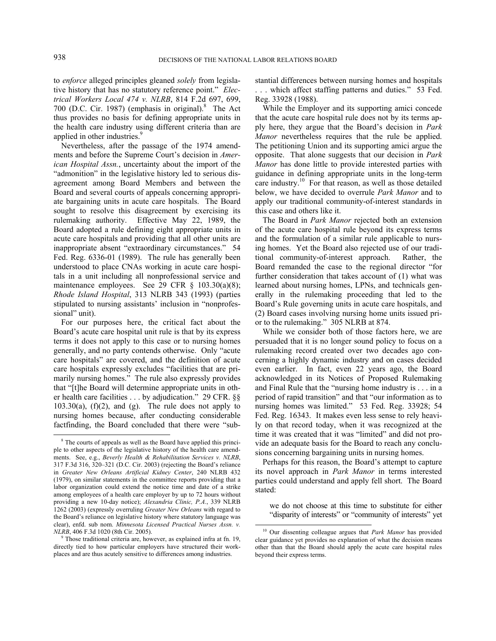to *enforce* alleged principles gleaned *solely* from legislative history that has no statutory reference point." *Electrical Workers Local 474 v. NLRB*, 814 F.2d 697, 699, 700 (D.C. Cir. 1987) (emphasis in original). $8$  The Act thus provides no basis for defining appropriate units in the health care industry using different criteria than are applied in other industries.<sup>9</sup>

Nevertheless, after the passage of the 1974 amendments and before the Supreme Court's decision in *American Hospital Assn.*, uncertainty about the import of the "admonition" in the legislative history led to serious disagreement among Board Members and between the Board and several courts of appeals concerning appropriate bargaining units in acute care hospitals. The Board sought to resolve this disagreement by exercising its rulemaking authority. Effective May 22, 1989, the Board adopted a rule defining eight appropriate units in acute care hospitals and providing that all other units are inappropriate absent "extraordinary circumstances." 54 Fed. Reg. 6336-01 (1989). The rule has generally been understood to place CNAs working in acute care hospitals in a unit including all nonprofessional service and maintenance employees. See 29 CFR  $\S$  103.30(a)(8); *Rhode Island Hospital*, 313 NLRB 343 (1993) (parties stipulated to nursing assistants' inclusion in "nonprofessional" unit).

For our purposes here, the critical fact about the Board's acute care hospital unit rule is that by its express terms it does not apply to this case or to nursing homes generally, and no party contends otherwise. Only "acute care hospitals" are covered, and the definition of acute care hospitals expressly excludes "facilities that are primarily nursing homes." The rule also expressly provides that "[t]he Board will determine appropriate units in other health care facilities . . . by adjudication." 29 CFR. §§  $103.30(a)$ ,  $(f)(2)$ , and  $(g)$ . The rule does not apply to nursing homes because, after conducting considerable factfinding, the Board concluded that there were "substantial differences between nursing homes and hospitals . . . which affect staffing patterns and duties." 53 Fed. Reg. 33928 (1988).

While the Employer and its supporting amici concede that the acute care hospital rule does not by its terms apply here, they argue that the Board's decision in *Park Manor* nevertheless requires that the rule be applied. The petitioning Union and its supporting amici argue the opposite. That alone suggests that our decision in *Park Manor* has done little to provide interested parties with guidance in defining appropriate units in the long-term care industry.<sup>10</sup> For that reason, as well as those detailed below, we have decided to overrule *Park Manor* and to apply our traditional community-of-interest standards in this case and others like it.

The Board in *Park Manor* rejected both an extension of the acute care hospital rule beyond its express terms and the formulation of a similar rule applicable to nursing homes. Yet the Board also rejected use of our traditional community-of-interest approach. Rather, the Board remanded the case to the regional director "for further consideration that takes account of (1) what was learned about nursing homes, LPNs, and technicals generally in the rulemaking proceeding that led to the Board's Rule governing units in acute care hospitals, and (2) Board cases involving nursing home units issued prior to the rulemaking." 305 NLRB at 874.

While we consider both of those factors here, we are persuaded that it is no longer sound policy to focus on a rulemaking record created over two decades ago concerning a highly dynamic industry and on cases decided even earlier. In fact, even 22 years ago, the Board acknowledged in its Notices of Proposed Rulemaking and Final Rule that the "nursing home industry is . . . in a period of rapid transition" and that "our information as to nursing homes was limited." 53 Fed. Reg. 33928; 54 Fed. Reg. 16343. It makes even less sense to rely heavily on that record today, when it was recognized at the time it was created that it was "limited" and did not provide an adequate basis for the Board to reach any conclusions concerning bargaining units in nursing homes.

Perhaps for this reason, the Board's attempt to capture its novel approach in *Park Manor* in terms interested parties could understand and apply fell short. The Board stated:

we do not choose at this time to substitute for either "disparity of interests" or "community of interests" yet

<sup>&</sup>lt;sup>8</sup> The courts of appeals as well as the Board have applied this principle to other aspects of the legislative history of the health care amendments. See, e.g., *Beverly Health & Rehabilitation Services v. NLRB*, 317 F.3d 316, 320–321 (D.C. Cir. 2003) (rejecting the Board's reliance in *Greater New Orleans Artificial Kidney Center*, 240 NLRB 432 (1979), on similar statements in the committee reports providing that a labor organization could extend the notice time and date of a strike among employees of a health care employer by up to 72 hours without providing a new 10-day notice); *Alexandria Clinic, P.A.*, 339 NLRB 1262 (2003) (expressly overruling *Greater New Orleans* with regard to the Board's reliance on legislative history where statutory language was clear), enfd. sub nom. *Minnesota Licensed Practical Nurses Assn. v. NLRB*, 406 F.3d 1020 (8th Cir. 2005).

Those traditional criteria are, however, as explained infra at fn. 19, directly tied to how particular employers have structured their workplaces and are thus acutely sensitive to differences among industries.

 <sup>10</sup> Our dissenting colleague argues that *Park Manor* has provided clear guidance yet provides no explanation of what the decision means other than that the Board should apply the acute care hospital rules beyond their express terms.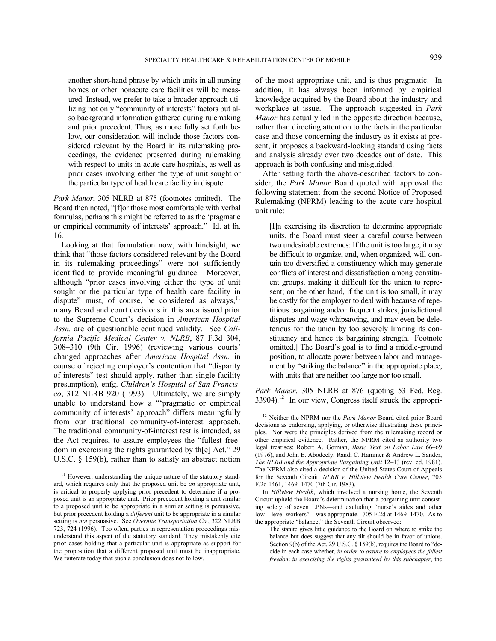another short-hand phrase by which units in all nursing homes or other nonacute care facilities will be measured. Instead, we prefer to take a broader approach utilizing not only "community of interests" factors but also background information gathered during rulemaking and prior precedent. Thus, as more fully set forth below, our consideration will include those factors considered relevant by the Board in its rulemaking proceedings, the evidence presented during rulemaking with respect to units in acute care hospitals, as well as prior cases involving either the type of unit sought or the particular type of health care facility in dispute.

*Park Manor*, 305 NLRB at 875 (footnotes omitted). The Board then noted, "[f]or those most comfortable with verbal formulas, perhaps this might be referred to as the 'pragmatic or empirical community of interests' approach." Id. at fn. 16.

Looking at that formulation now, with hindsight, we think that "those factors considered relevant by the Board in its rulemaking proceedings" were not sufficiently identified to provide meaningful guidance. Moreover, although "prior cases involving either the type of unit sought or the particular type of health care facility in dispute" must, of course, be considered as always, $\frac{11}{11}$ many Board and court decisions in this area issued prior to the Supreme Court's decision in *American Hospital Assn.* are of questionable continued validity. See *California Pacific Medical Center v. NLRB*, 87 F.3d 304, 308–310 (9th Cir. 1996) (reviewing various courts' changed approaches after *American Hospital Assn.* in course of rejecting employer's contention that "disparity of interests" test should apply, rather than single-facility presumption), enfg. *Children's Hospital of San Francisco*, 312 NLRB 920 (1993). Ultimately, we are simply unable to understand how a "'pragmatic or empirical community of interests' approach" differs meaningfully from our traditional community-of-interest approach. The traditional community-of-interest test is intended, as the Act requires, to assure employees the "fullest freedom in exercising the rights guaranteed by th[e] Act," 29 U.S.C. § 159(b), rather than to satisfy an abstract notion

of the most appropriate unit, and is thus pragmatic. In addition, it has always been informed by empirical knowledge acquired by the Board about the industry and workplace at issue. The approach suggested in *Park Manor* has actually led in the opposite direction because, rather than directing attention to the facts in the particular case and those concerning the industry as it exists at present, it proposes a backward-looking standard using facts and analysis already over two decades out of date. This approach is both confusing and misguided.

After setting forth the above-described factors to consider, the *Park Manor* Board quoted with approval the following statement from the second Notice of Proposed Rulemaking (NPRM) leading to the acute care hospital unit rule:

[I]n exercising its discretion to determine appropriate units, the Board must steer a careful course between two undesirable extremes: If the unit is too large, it may be difficult to organize, and, when organized, will contain too diversified a constituency which may generate conflicts of interest and dissatisfaction among constituent groups, making it difficult for the union to represent; on the other hand, if the unit is too small, it may be costly for the employer to deal with because of repetitious bargaining and/or frequent strikes, jurisdictional disputes and wage whipsawing, and may even be deleterious for the union by too severely limiting its constituency and hence its bargaining strength. [Footnote omitted.] The Board's goal is to find a middle-ground position, to allocate power between labor and management by "striking the balance" in the appropriate place, with units that are neither too large nor too small.

*Park Manor*, 305 NLRB at 876 (quoting 53 Fed. Reg. 33904).12 In our view, Congress itself struck the appropri-

<sup>&</sup>lt;sup>11</sup> However, understanding the unique nature of the statutory standard, which requires only that the proposed unit be *an* appropriate unit, is critical to properly applying prior precedent to determine if a proposed unit is an appropriate unit. Prior precedent holding a unit similar to a proposed unit to be appropriate in a similar setting is persuasive, but prior precedent holding a *different* unit to be appropriate in a similar setting is *not* persuasive. See *Overnite Transportation Co.*, 322 NLRB 723, 724 (1996). Too often, parties in representation proceedings misunderstand this aspect of the statutory standard. They mistakenly cite prior cases holding that a particular unit is appropriate as support for the proposition that a different proposed unit must be inappropriate. We reiterate today that such a conclusion does not follow.

 <sup>12</sup> Neither the NPRM nor the *Park Manor* Board cited prior Board decisions as endorsing, applying, or otherwise illustrating these principles. Nor were the principles derived from the rulemaking record or other empirical evidence. Rather, the NPRM cited as authority two legal treatises: Robert A. Gorman, *Basic Text on Labor Law* 66–69 (1976), and John E. Abodeely, Randi C. Hammer & Andrew L. Sander, *The NLRB and the Appropriate Bargaining Unit* 12–13 (rev. ed. 1981). The NPRM also cited a decision of the United States Court of Appeals for the Seventh Circuit: *NLRB v. Hillview Health Care Center*, 705 F.2d 1461, 1469–1470 (7th Cir. 1983).

In *Hillview Health*, which involved a nursing home, the Seventh Circuit upheld the Board's determination that a bargaining unit consisting solely of seven LPNs—and excluding "nurse's aides and other low—level workers"—was appropriate. 705 F.2d at 1469–1470. As to the appropriate "balance," the Seventh Circuit observed:

The statute gives little guidance to the Board on where to strike the balance but does suggest that any tilt should be in favor of unions. Section 9(b) of the Act, 29 U.S.C. § 159(b), requires the Board to "decide in each case whether, *in order to assure to employees the fullest freedom in exercising the rights guaranteed by this subchapter*, the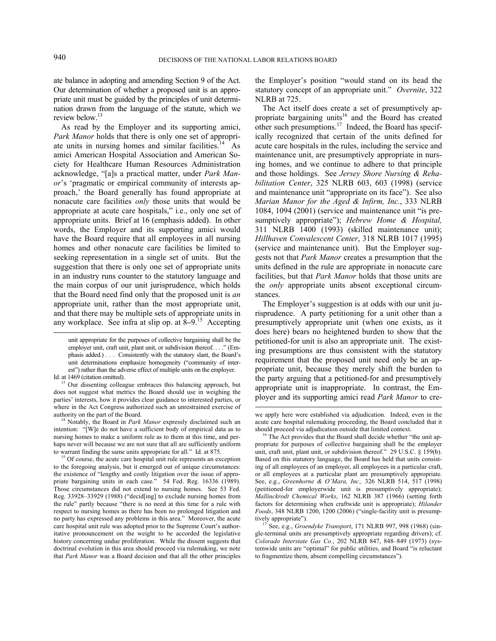-

ate balance in adopting and amending Section 9 of the Act. Our determination of whether a proposed unit is an appropriate unit must be guided by the principles of unit determination drawn from the language of the statute, which we review below.<sup>13</sup>

As read by the Employer and its supporting amici, *Park Manor* holds that there is only one set of appropriate units in nursing homes and similar facilities.<sup>14</sup> As amici American Hospital Association and American Society for Healthcare Human Resources Administration acknowledge, "[a]s a practical matter, under *Park Manor*'s 'pragmatic or empirical community of interests approach,' the Board generally has found appropriate at nonacute care facilities *only* those units that would be appropriate at acute care hospitals," i.e., only one set of appropriate units. Brief at 16 (emphasis added). In other words, the Employer and its supporting amici would have the Board require that all employees in all nursing homes and other nonacute care facilities be limited to seeking representation in a single set of units. But the suggestion that there is only one set of appropriate units in an industry runs counter to the statutory language and the main corpus of our unit jurisprudence, which holds that the Board need find only that the proposed unit is *an* appropriate unit, rather than the most appropriate unit, and that there may be multiple sets of appropriate units in any workplace. See infra at slip op. at 8**–**9.15 Accepting

Id. at 1469 (citation omitted).  $13$  Our dissenting colleague embraces this balancing approach, but does not suggest what metrics the Board should use in weighing the parties' interests, how it provides clear guidance to interested parties, or where in the Act Congress authorized such an unrestrained exercise of

authority on the part of the Board. 14 Notably, the Board in *Park Manor* expressly disclaimed such an intention: "[W]e do not have a sufficient body of empirical data as to nursing homes to make a uniform rule as to them at this time, and perhaps never will because we are not sure that all are sufficiently uniform

to warrant finding the same units appropriate for all." Id. at 875. <sup>15</sup> Of course, the acute care hospital unit rule represents an exception to the foregoing analysis, but it emerged out of unique circumstances: the existence of "lengthy and costly litigation over the issue of appropriate bargaining units in each case." 54 Fed. Reg. 16336 (1989). Those circumstances did not extend to nursing homes. See 53 Fed. Reg. 33928–33929 (1988) ("decid[ing] to exclude nursing homes from the rule" partly because "there is no need at this time for a rule with respect to nursing homes as there has been no prolonged litigation and no party has expressed any problems in this area." Moreover, the acute care hospital unit rule was adopted prior to the Supreme Court's authoritative pronouncement on the weight to be accorded the legislative history concerning undue proliferation. While the dissent suggests that doctrinal evolution in this area should proceed via rulemaking, we note that *Park Manor* was a Board decision and that all the other principles

the Employer's position "would stand on its head the statutory concept of an appropriate unit." *Overnite*, 322 NLRB at 725.

The Act itself does create a set of presumptively appropriate bargaining units<sup>16</sup> and the Board has created other such presumptions.<sup>17</sup> Indeed, the Board has specifically recognized that certain of the units defined for acute care hospitals in the rules, including the service and maintenance unit, are presumptively appropriate in nursing homes, and we continue to adhere to that principle and those holdings. See *Jersey Shore Nursing & Rehabilitation Center*, 325 NLRB 603, 603 (1998) (service and maintenance unit "appropriate on its face"). See also *Marian Manor for the Aged & Infirm, Inc.*, 333 NLRB 1084, 1094 (2001) (service and maintenance unit "is presumptively appropriate"); *Hebrew Home & Hospital,*  311 NLRB 1400 (1993) (skilled maintenance unit); *Hillhaven Convalescent Center*, 318 NLRB 1017 (1995) (service and maintenance unit). But the Employer suggests not that *Park Manor* creates a presumption that the units defined in the rule are appropriate in nonacute care facilities, but that *Park Manor* holds that those units are the *only* appropriate units absent exceptional circumstances.

The Employer's suggestion is at odds with our unit jurisprudence. A party petitioning for a unit other than a presumptively appropriate unit (when one exists, as it does here) bears no heightened burden to show that the petitioned-for unit is also an appropriate unit. The existing presumptions are thus consistent with the statutory requirement that the proposed unit need only be an appropriate unit, because they merely shift the burden to the party arguing that a petitioned-for and presumptively appropriate unit is inappropriate. In contrast, the Employer and its supporting amici read *Park Manor* to cre-

unit appropriate for the purposes of collective bargaining shall be the employer unit, craft unit, plant unit, or subdivision thereof. . . ." (Emphasis added.) . . . Consistently with the statutory slant, the Board's unit determinations emphasize homogeneity ("community of interest") rather than the adverse effect of multiple units on the employer.

we apply here were established via adjudication. Indeed, even in the acute care hospital rulemaking proceeding, the Board concluded that it should proceed via adjudication outside that limited context.<br><sup>16</sup> The Act provides that the Board shall decide whether "the unit ap-

propriate for purposes of collective bargaining shall be the employer unit, craft unit, plant unit, or subdivision thereof." 29 U.S.C. § 159(b). Based on this statutory language, the Board has held that units consisting of all employees of an employer, all employees in a particular craft, or all employees at a particular plant are presumptively appropriate. See, e.g., *Greenhorne & O'Mara, Inc.,* 326 NLRB 514, 517 (1998) (petitioned-for employerwide unit is presumptively appropriate); *Mallinckrodt Chemical Works*, 162 NLRB 387 (1966) (setting forth factors for determining when craftwide unit is appropriate); *Hilander Foods*, 348 NLRB 1200, 1200 (2006) ("single-facility unit is presumptively appropriate"). 17 See, e.g., *Groendyke Transport*, 171 NLRB 997, 998 (1968) (sin-

gle-terminal units are presumptively appropriate regarding drivers); cf. *Colorado Interstate Gas Co.*, 202 NLRB 847, 848–849 (1973) (systemwide units are "optimal" for public utilities, and Board "is reluctant to fragmentize them, absent compelling circumstances").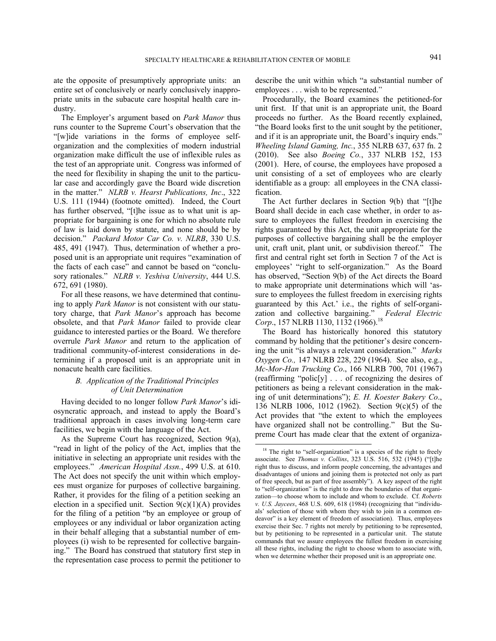ate the opposite of presumptively appropriate units: an entire set of conclusively or nearly conclusively inappropriate units in the subacute care hospital health care industry.

The Employer's argument based on *Park Manor* thus runs counter to the Supreme Court's observation that the "[w]ide variations in the forms of employee selforganization and the complexities of modern industrial organization make difficult the use of inflexible rules as the test of an appropriate unit. Congress was informed of the need for flexibility in shaping the unit to the particular case and accordingly gave the Board wide discretion in the matter." *NLRB v. Hearst Publications, Inc*., 322 U.S. 111 (1944) (footnote omitted). Indeed, the Court has further observed, "[t]he issue as to what unit is appropriate for bargaining is one for which no absolute rule of law is laid down by statute, and none should be by decision." *Packard Motor Car Co. v. NLRB*, 330 U.S. 485, 491 (1947). Thus, determination of whether a proposed unit is an appropriate unit requires "examination of the facts of each case" and cannot be based on "conclusory rationales." *NLRB v. Yeshiva University*, 444 U.S. 672, 691 (1980).

For all these reasons, we have determined that continuing to apply *Park Manor* is not consistent with our statutory charge, that *Park Manor*'s approach has become obsolete, and that *Park Manor* failed to provide clear guidance to interested parties or the Board. We therefore overrule *Park Manor* and return to the application of traditional community-of-interest considerations in determining if a proposed unit is an appropriate unit in nonacute health care facilities.

## *B. Application of the Traditional Principles of Unit Determination*

Having decided to no longer follow *Park Manor*'s idiosyncratic approach, and instead to apply the Board's traditional approach in cases involving long-term care facilities, we begin with the language of the Act.

As the Supreme Court has recognized, Section 9(a), "read in light of the policy of the Act, implies that the initiative in selecting an appropriate unit resides with the employees." *American Hospital Assn.*, 499 U.S. at 610. The Act does not specify the unit within which employees must organize for purposes of collective bargaining. Rather, it provides for the filing of a petition seeking an election in a specified unit. Section  $9(c)(1)(A)$  provides for the filing of a petition "by an employee or group of employees or any individual or labor organization acting in their behalf alleging that a substantial number of employees (i) wish to be represented for collective bargaining." The Board has construed that statutory first step in the representation case process to permit the petitioner to

describe the unit within which "a substantial number of employees . . . wish to be represented."

Procedurally, the Board examines the petitioned-for unit first. If that unit is an appropriate unit, the Board proceeds no further. As the Board recently explained, "the Board looks first to the unit sought by the petitioner, and if it is an appropriate unit, the Board's inquiry ends." *Wheeling Island Gaming, Inc.*, 355 NLRB 637, 637 fn. 2 (2010). See also *Boeing Co.*, 337 NLRB 152, 153 (2001). Here, of course, the employees have proposed a unit consisting of a set of employees who are clearly identifiable as a group: all employees in the CNA classification.

The Act further declares in Section 9(b) that "[t]he Board shall decide in each case whether, in order to assure to employees the fullest freedom in exercising the rights guaranteed by this Act, the unit appropriate for the purposes of collective bargaining shall be the employer unit, craft unit, plant unit, or subdivision thereof." The first and central right set forth in Section 7 of the Act is employees' "right to self-organization." As the Board has observed, "Section 9(b) of the Act directs the Board to make appropriate unit determinations which will 'assure to employees the fullest freedom in exercising rights guaranteed by this Act.' i.e., the rights of self-organization and collective bargaining." *Federal Electric*  Corp., 157 NLRB 1130, 1132 (1966).<sup>18</sup>

The Board has historically honored this statutory command by holding that the petitioner's desire concerning the unit "is always a relevant consideration." *Marks Oxygen Co.,* 147 NLRB 228, 229 (1964). See also, e.g., *Mc-Mor-Han Trucking Co*., 166 NLRB 700, 701 (1967) (reaffirming "polic[y] . . . of recognizing the desires of petitioners as being a relevant consideration in the making of unit determinations"); *E. H. Koester Bakery Co*., 136 NLRB 1006, 1012 (1962). Section 9(c)(5) of the Act provides that "the extent to which the employees have organized shall not be controlling." But the Supreme Court has made clear that the extent of organiza-

<sup>&</sup>lt;sup>18</sup> The right to "self-organization" is a species of the right to freely associate. See *Thomas v. Collins*, 323 U.S. 516, 532 (1945) ("[t]he right thus to discuss, and inform people concerning, the advantages and disadvantages of unions and joining them is protected not only as part of free speech, but as part of free assembly"). A key aspect of the right to "self-organization" is the right to draw the boundaries of that organization—to choose whom to include and whom to exclude. Cf. *Roberts v. U.S. Jaycees*, 468 U.S. 609, 618 (1984) (recognizing that "individuals' selection of those with whom they wish to join in a common endeavor" is a key element of freedom of association).Thus, employees exercise their Sec. 7 rights not merely by petitioning to be represented, but by petitioning to be represented in a particular unit. The statute commands that we assure employees the fullest freedom in exercising all these rights, including the right to choose whom to associate with, when we determine whether their proposed unit is an appropriate one.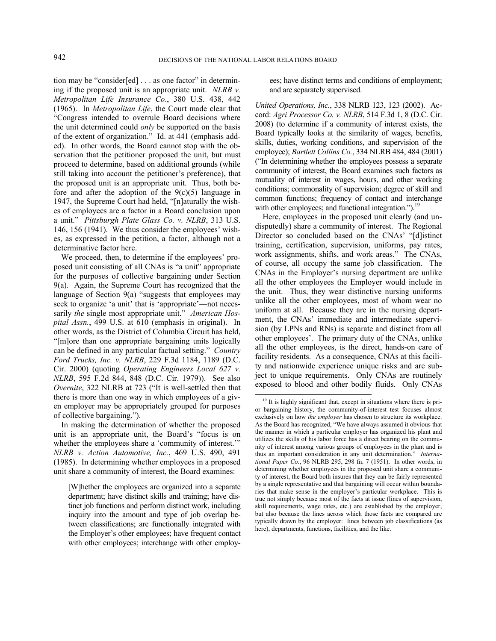tion may be "consider[ed] . . . as one factor" in determining if the proposed unit is an appropriate unit. *NLRB v. Metropolitan Life Insurance Co*., 380 U.S. 438, 442 (1965). In *Metropolitan Life*, the Court made clear that "Congress intended to overrule Board decisions where the unit determined could *only* be supported on the basis of the extent of organization." Id. at 441 (emphasis added). In other words, the Board cannot stop with the observation that the petitioner proposed the unit, but must proceed to determine, based on additional grounds (while still taking into account the petitioner's preference), that the proposed unit is an appropriate unit. Thus, both before and after the adoption of the  $9(c)(5)$  language in 1947, the Supreme Court had held, "[n]aturally the wishes of employees are a factor in a Board conclusion upon a unit." *Pittsburgh Plate Glass Co. v. NLRB*, 313 U.S. 146, 156 (1941). We thus consider the employees' wishes, as expressed in the petition, a factor, although not a determinative factor here.

We proceed, then, to determine if the employees' proposed unit consisting of all CNAs is "a unit" appropriate for the purposes of collective bargaining under Section 9(a). Again, the Supreme Court has recognized that the language of Section 9(a) "suggests that employees may seek to organize 'a unit' that is 'appropriate'—not necessarily *the* single most appropriate unit." *American Hospital Assn.*, 499 U.S. at 610 (emphasis in original). In other words, as the District of Columbia Circuit has held, "[m]ore than one appropriate bargaining units logically can be defined in any particular factual setting." *Country Ford Trucks, Inc. v. NLRB*, 229 F.3d 1184, 1189 (D.C. Cir. 2000) (quoting *Operating Engineers Local 627 v. NLRB*, 595 F.2d 844, 848 (D.C. Cir. 1979)). See also *Overnite*, 322 NLRB at 723 ("It is well-settled then that there is more than one way in which employees of a given employer may be appropriately grouped for purposes of collective bargaining.").

In making the determination of whether the proposed unit is an appropriate unit, the Board's "focus is on whether the employees share a 'community of interest.'" *NLRB v. Action Automotive, Inc.*, 469 U.S. 490, 491 (1985). In determining whether employees in a proposed unit share a community of interest, the Board examines:

ees; have distinct terms and conditions of employment; and are separately supervised.

*United Operations, Inc.*, 338 NLRB 123, 123 (2002). Accord: *Agri Processor Co. v. NLRB*, 514 F.3d 1, 8 (D.C. Cir. 2008) (to determine if a community of interest exists, the Board typically looks at the similarity of wages, benefits, skills, duties, working conditions, and supervision of the employee); *Bartlett Collins Co.*, 334 NLRB 484, 484 (2001) ("In determining whether the employees possess a separate community of interest, the Board examines such factors as mutuality of interest in wages, hours, and other working conditions; commonality of supervision; degree of skill and common functions; frequency of contact and interchange with other employees; and functional integration.").<sup>19</sup>

Here, employees in the proposed unit clearly (and undisputedly) share a community of interest. The Regional Director so concluded based on the CNAs' "[d]istinct training, certification, supervision, uniforms, pay rates, work assignments, shifts, and work areas." The CNAs, of course, all occupy the same job classification. The CNAs in the Employer's nursing department are unlike all the other employees the Employer would include in the unit. Thus, they wear distinctive nursing uniforms unlike all the other employees, most of whom wear no uniform at all. Because they are in the nursing department, the CNAs' immediate and intermediate supervision (by LPNs and RNs) is separate and distinct from all other employees'. The primary duty of the CNAs, unlike all the other employees, is the direct, hands-on care of facility residents. As a consequence, CNAs at this facility and nationwide experience unique risks and are subject to unique requirements. Only CNAs are routinely exposed to blood and other bodily fluids. Only CNAs

<sup>[</sup>W]hether the employees are organized into a separate department; have distinct skills and training; have distinct job functions and perform distinct work, including inquiry into the amount and type of job overlap between classifications; are functionally integrated with the Employer's other employees; have frequent contact with other employees; interchange with other employ-

<sup>&</sup>lt;sup>19</sup> It is highly significant that, except in situations where there is prior bargaining history, the community-of-interest test focuses almost exclusively on how *the employer* has chosen to structure its workplace. As the Board has recognized, "We have always assumed it obvious that the manner in which a particular employer has organized his plant and utilizes the skills of his labor force has a direct bearing on the community of interest among various groups of employees in the plant and is thus an important consideration in any unit determination." *International Paper Co.*, 96 NLRB 295, 298 fn. 7 (1951). In other words, in determining whether employees in the proposed unit share a community of interest, the Board both insures that they can be fairly represented by a single representative and that bargaining will occur within boundaries that make sense in the employer's particular workplace. This is true not simply because most of the facts at issue (lines of supervision, skill requirements, wage rates, etc.) are established by the employer, but also because the lines across which those facts are compared are typically drawn by the employer: lines between job classifications (as here), departments, functions, facilities, and the like.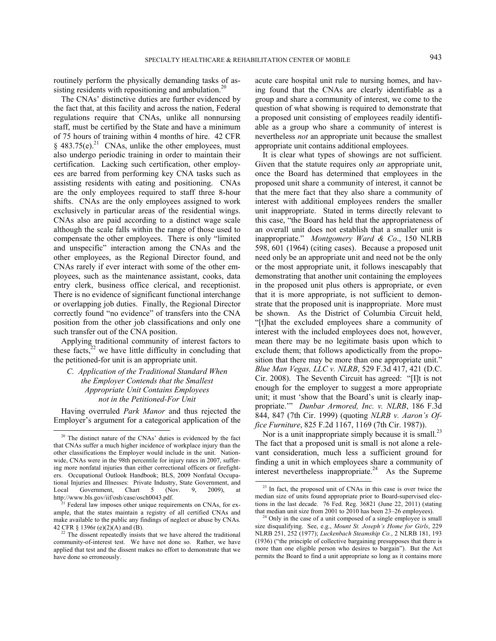routinely perform the physically demanding tasks of assisting residents with repositioning and ambulation.<sup>20</sup>

The CNAs' distinctive duties are further evidenced by the fact that, at this facility and across the nation, Federal regulations require that CNAs, unlike all nonnursing staff, must be certified by the State and have a minimum of 75 hours of training within 4 months of hire. 42 CFR  $§$  483.75(e).<sup>21</sup> CNAs, unlike the other employees, must also undergo periodic training in order to maintain their certification. Lacking such certification, other employees are barred from performing key CNA tasks such as assisting residents with eating and positioning. CNAs are the only employees required to staff three 8-hour shifts. CNAs are the only employees assigned to work exclusively in particular areas of the residential wings. CNAs also are paid according to a distinct wage scale although the scale falls within the range of those used to compensate the other employees. There is only "limited and unspecific" interaction among the CNAs and the other employees, as the Regional Director found, and CNAs rarely if ever interact with some of the other employees, such as the maintenance assistant, cooks, data entry clerk, business office clerical, and receptionist. There is no evidence of significant functional interchange or overlapping job duties. Finally, the Regional Director correctly found "no evidence" of transfers into the CNA position from the other job classifications and only one such transfer out of the CNA position.

Applying traditional community of interest factors to these facts, $2^{2}$  we have little difficulty in concluding that the petitioned-for unit is an appropriate unit.

*C. Application of the Traditional Standard When the Employer Contends that the Smallest Appropriate Unit Contains Employees not in the Petitioned-For Unit* 

Having overruled *Park Manor* and thus rejected the Employer's argument for a categorical application of the acute care hospital unit rule to nursing homes, and having found that the CNAs are clearly identifiable as a group and share a community of interest, we come to the question of what showing is required to demonstrate that a proposed unit consisting of employees readily identifiable as a group who share a community of interest is nevertheless *not* an appropriate unit because the smallest appropriate unit contains additional employees.

It is clear what types of showings are not sufficient. Given that the statute requires only *an* appropriate unit, once the Board has determined that employees in the proposed unit share a community of interest, it cannot be that the mere fact that they also share a community of interest with additional employees renders the smaller unit inappropriate. Stated in terms directly relevant to this case, "the Board has held that the appropriateness of an overall unit does not establish that a smaller unit is inappropriate." *Montgomery Ward & Co*., 150 NLRB 598, 601 (1964) (citing cases). Because a proposed unit need only be an appropriate unit and need not be the only or the most appropriate unit, it follows inescapably that demonstrating that another unit containing the employees in the proposed unit plus others is appropriate, or even that it is more appropriate, is not sufficient to demonstrate that the proposed unit is inappropriate. More must be shown. As the District of Columbia Circuit held, "[t]hat the excluded employees share a community of interest with the included employees does not, however, mean there may be no legitimate basis upon which to exclude them; that follows apodictically from the proposition that there may be more than one appropriate unit." *Blue Man Vegas, LLC v. NLRB*, 529 F.3d 417, 421 (D.C. Cir. 2008). The Seventh Circuit has agreed: "[I]t is not enough for the employer to suggest a more appropriate unit; it must 'show that the Board's unit is clearly inappropriate.'" *Dunbar Armored, Inc. v. NLRB*, 186 F.3d 844, 847 (7th Cir. 1999) (quoting *NLRB v. Aaron's Office Furniture*, 825 F.2d 1167, 1169 (7th Cir. 1987)).

Nor is a unit inappropriate simply because it is small.<sup>23</sup> The fact that a proposed unit is small is not alone a relevant consideration, much less a sufficient ground for finding a unit in which employees share a community of interest nevertheless inappropriate.<sup>24</sup> As the Supreme

<sup>&</sup>lt;sup>20</sup> The distinct nature of the CNAs' duties is evidenced by the fact that CNAs suffer a much higher incidence of workplace injury than the other classifications the Employer would include in the unit. Nationwide, CNAs were in the 98th percentile for injury rates in 2007, suffering more nonfatal injuries than either correctional officers or firefighters. Occupational Outlook Handbook; BLS, 2009 Nonfatal Occupational Injuries and Illnesses: Private Industry, State Government, and Local Government, Chart 5 (Nov. 9, 2009), at Local Government, Chart 5 (Nov. 9, 2009), at http://www.bls.gov/iif/osh/case/osch0043.pdf.

 $<sup>1</sup>$  Federal law imposes other unique requirements on CNAs, for ex-</sup> ample, that the states maintain a registry of all certified CNAs and make available to the public any findings of neglect or abuse by CNAs. 42 CFR § 1396r (e)(2)(A) and (B).<br><sup>22</sup> The dissent repeatedly insists that we have altered the traditional

community-of-interest test. We have not done so. Rather, we have applied that test and the dissent makes no effort to demonstrate that we have done so erroneously.

<sup>&</sup>lt;sup>23</sup> In fact, the proposed unit of CNAs in this case is over twice the median size of units found appropriate prior to Board-supervised elections in the last decade. 76 Fed. Reg. 36821 (June 22, 2011) (stating that median unit size from 2001 to 2010 has been 23–26 employees).

<sup>&</sup>lt;sup>24</sup> Only in the case of a unit composed of a single employee is small size disqualifying. See, e.g., *Mount St. Joseph's Home for Girls*, 229 NLRB 251, 252 (1977); *Luckenbach Steamship Co.*, 2 NLRB 181, 193 (1936) ("the principle of collective bargaining presupposes that there is more than one eligible person who desires to bargain"). But the Act permits the Board to find a unit appropriate so long as it contains more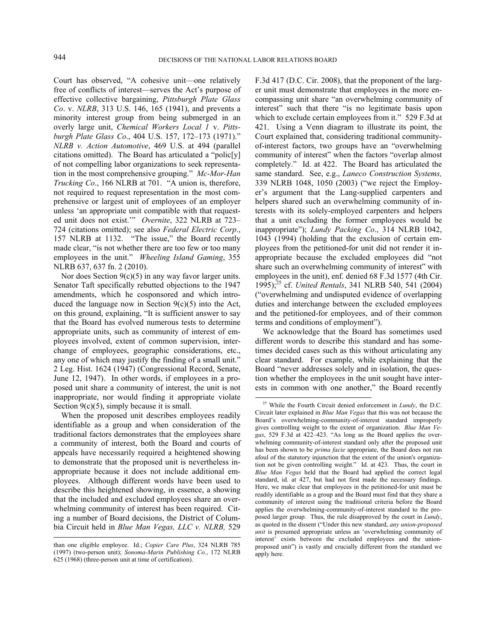Court has observed, "A cohesive unit—one relatively free of conflicts of interest—serves the Act's purpose of effective collective bargaining, *Pittsburgh Plate Glass Co*. v. *NLRB*, 313 U.S. 146, 165 (1941), and prevents a minority interest group from being submerged in an overly large unit, *Chemical Workers Local 1* v. *Pittsburgh Plate Glass Co*., 404 U.S. 157, 172–173 (1971)." *NLRB v. Action Automotive*, 469 U.S. at 494 (parallel citations omitted). The Board has articulated a "polic[y] of not compelling labor organizations to seek representation in the most comprehensive grouping." *Mc-Mor-Han Trucking Co*., 166 NLRB at 701. "A union is, therefore, not required to request representation in the most comprehensive or largest unit of employees of an employer unless 'an appropriate unit compatible with that requested unit does not exist.'" *Overnite*, 322 NLRB at 723– 724 (citations omitted); see also *Federal Electric Corp*., 157 NLRB at 1132. "The issue," the Board recently made clear, "is not whether there are too few or too many employees in the unit." *Wheeling Island Gaming*, 355 NLRB 637, 637 fn. 2 (2010).

Nor does Section  $9(c)(5)$  in any way favor larger units. Senator Taft specifically rebutted objections to the 1947 amendments, which he cosponsored and which introduced the language now in Section  $9(c)(5)$  into the Act, on this ground, explaining, "It is sufficient answer to say that the Board has evolved numerous tests to determine appropriate units, such as community of interest of employees involved, extent of common supervision, interchange of employees, geographic considerations, etc., any one of which may justify the finding of a small unit." 2 Leg. Hist. 1624 (1947) (Congressional Record, Senate, June 12, 1947). In other words, if employees in a proposed unit share a community of interest, the unit is not inappropriate, nor would finding it appropriate violate Section  $9(c)(5)$ , simply because it is small.

When the proposed unit describes employees readily identifiable as a group and when consideration of the traditional factors demonstrates that the employees share a community of interest, both the Board and courts of appeals have necessarily required a heightened showing to demonstrate that the proposed unit is nevertheless inappropriate because it does not include additional employees. Although different words have been used to describe this heightened showing, in essence, a showing that the included and excluded employees share an overwhelming community of interest has been required. Citing a number of Board decisions, the District of Columbia Circuit held in *Blue Man Vegas, LLC v. NLRB,* 529

l

F.3d 417 (D.C. Cir. 2008), that the proponent of the larger unit must demonstrate that employees in the more encompassing unit share "an overwhelming community of interest" such that there "is no legitimate basis upon which to exclude certain employees from it." 529 F.3d at 421. Using a Venn diagram to illustrate its point, the Court explained that, considering traditional communityof-interest factors, two groups have an "overwhelming community of interest" when the factors "overlap almost completely." Id. at 422. The Board has articulated the same standard. See, e.g., *Laneco Construction Systems,*  339 NLRB 1048, 1050 (2003) ("we reject the Employer's argument that the Lang-supplied carpenters and helpers shared such an overwhelming community of interests with its solely-employed carpenters and helpers that a unit excluding the former employees would be inappropriate"); *Lundy Packing Co*., 314 NLRB 1042, 1043 (1994) (holding that the exclusion of certain employees from the petitioned-for unit did not render it inappropriate because the excluded employees did "not share such an overwhelming community of interest" with employees in the unit), enf. denied 68 F.3d 1577 (4th Cir. 1995);25 cf. *United Rentals*, 341 NLRB 540, 541 (2004) ("overwhelming and undisputed evidence of overlapping duties and interchange between the excluded employees and the petitioned-for employees, and of their common terms and conditions of employment").

We acknowledge that the Board has sometimes used different words to describe this standard and has sometimes decided cases such as this without articulating any clear standard. For example, while explaining that the Board "never addresses solely and in isolation, the question whether the employees in the unit sought have interests in common with one another," the Board recently

than one eligible employee. Id.; *Copier Care Plus*, 324 NLRB 785 (1997) (two-person unit); *Sonoma-Marin Publishing Co.*, 172 NLRB 625 (1968) (three-person unit at time of certification).

 <sup>25</sup> While the Fourth Circuit denied enforcement in *Lundy*, the D.C. Circuit later explained in *Blue Man Vegas* that this was not because the Board's overwhelming-community-of-interest standard improperly gives controlling weight to the extent of organization. *Blue Man Vegas*, 529 F.3d at 422–423. "As long as the Board applies the overwhelming community-of-interest standard only after the proposed unit has been shown to be *prima facie* appropriate, the Board does not run afoul of the statutory injunction that the extent of the union's organization not be given controlling weight." Id. at 423. Thus, the court in *Blue Man Vegas* held that the Board had applied the correct legal standard, id. at 427, but had not first made the necessary findings. Here, we make clear that employees in the petitioned-for unit must be readily identifiable as a group and the Board must find that they share a community of interest using the traditional criteria before the Board applies the overwhelming-community-of-interest standard to the proposed larger group. Thus, the rule disapproved by the court in *Lundy*, as quoted in the dissent ("Under this new standard, *any union-proposed unit* is presumed appropriate unless an 'overwhelming community of interest' exists between the excluded employees and the unionproposed unit") is vastly and crucially different from the standard we apply here.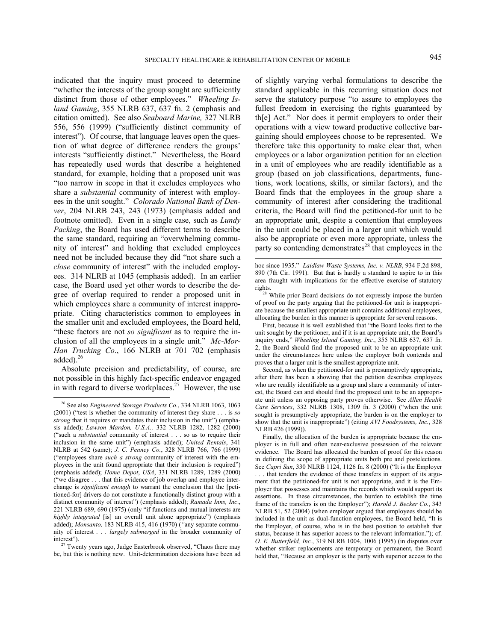$\overline{a}$ 

indicated that the inquiry must proceed to determine "whether the interests of the group sought are sufficiently distinct from those of other employees." *Wheeling Island Gaming*, 355 NLRB 637, 637 fn. 2 (emphasis and citation omitted). See also *Seaboard Marine,* 327 NLRB 556, 556 (1999) ("sufficiently distinct community of interest"). Of course, that language leaves open the question of what degree of difference renders the groups' interests "sufficiently distinct." Nevertheless, the Board has repeatedly used words that describe a heightened standard, for example, holding that a proposed unit was "too narrow in scope in that it excludes employees who share a *substantial* community of interest with employees in the unit sought." *Colorado National Bank of Denver*, 204 NLRB 243, 243 (1973) (emphasis added and footnote omitted). Even in a single case, such as *Lundy Packing*, the Board has used different terms to describe the same standard, requiring an "overwhelming community of interest" and holding that excluded employees need not be included because they did "not share such a *close* community of interest" with the included employees. 314 NLRB at 1045 (emphasis added). In an earlier case, the Board used yet other words to describe the degree of overlap required to render a proposed unit in which employees share a community of interest inappropriate. Citing characteristics common to employees in the smaller unit and excluded employees, the Board held, "these factors are not *so significant* as to require the inclusion of all the employees in a single unit." *Mc-Mor-Han Trucking Co*., 166 NLRB at 701–702 (emphasis added). $^{26}$ 

Absolute precision and predictability, of course, are not possible in this highly fact-specific endeavor engaged in with regard to diverse workplaces. $27$  However, the use of slightly varying verbal formulations to describe the standard applicable in this recurring situation does not serve the statutory purpose "to assure to employees the fullest freedom in exercising the rights guaranteed by th[e] Act." Nor does it permit employers to order their operations with a view toward productive collective bargaining should employees choose to be represented. We therefore take this opportunity to make clear that, when employees or a labor organization petition for an election in a unit of employees who are readily identifiable as a group (based on job classifications, departments, functions, work locations, skills, or similar factors), and the Board finds that the employees in the group share a community of interest after considering the traditional criteria, the Board will find the petitioned-for unit to be an appropriate unit, despite a contention that employees in the unit could be placed in a larger unit which would also be appropriate or even more appropriate, unless the party so contending demonstrates $28 \text{ that employees in the}$ 

First, because it is well established that "the Board looks first to the unit sought by the petitioner, and if it is an appropriate unit, the Board's inquiry ends," *Wheeling Island Gaming, Inc.*, 355 NLRB 637, 637 fn. 2, the Board should find the proposed unit to be an appropriate unit under the circumstances here unless the employer both contends and proves that a larger unit is the smallest appropriate unit.

Second, as when the petitioned-for unit is presumptively appropriate**,** after there has been a showing that the petition describes employees who are readily identifiable as a group and share a community of interest, the Board can and should find the proposed unit to be an appropriate unit unless an opposing party proves otherwise. See *Allen Health Care Services*, 332 NLRB 1308, 1309 fn. 3 (2000) ("when the unit sought is presumptively appropriate, the burden is on the employer to show that the unit is inappropriate") (citing *AVI Foodsystems, Inc.*, 328 NLRB 426 (1999)).

 <sup>26</sup> See also *Engineered Storage Products Co.*, 334 NLRB 1063, 1063 (2001) ("test is whether the community of interest they share . . . is *so strong* that it requires or mandates their inclusion in the unit") (emphasis added); *Lawson Mardon, U.S.A.,* 332 NLRB 1282, 1282 (2000) ("such a *substantial* community of interest . . . so as to require their inclusion in the same unit") (emphasis added); *United Rentals*, 341 NLRB at 542 (same); *J. C. Penney Co.*, 328 NLRB 766, 766 (1999) ("employees share *such a strong* community of interest with the employees in the unit found appropriate that their inclusion is required") (emphasis added); *Home Depot*, *USA*, 331 NLRB 1289, 1289 (2000) ("we disagree . . . that this evidence of job overlap and employee interchange is *significant enough* to warrant the conclusion that the [petitioned-for] drivers do not constitute a functionally distinct group with a distinct community of interest") (emphasis added); *Ramada Inns, Inc*., 221 NLRB 689, 690 (1975) (only "if functions and mutual interests are *highly integrated* [is] an overall unit alone appropriate") (emphasis added); *Monsanto,* 183 NLRB 415, 416 (1970) (*"*any separate community of interest *. . . largely submerged* in the broader community of

interest"). 27 Twenty years ago, Judge Easterbrook observed, "Chaos there may be, but this is nothing new. Unit-determination decisions have been ad

hoc since 1935." *Laidlaw Waste Systems, Inc. v. NLRB*, 934 F.2d 898, 890 (7th Cir. 1991). But that is hardly a standard to aspire to in this area fraught with implications for the effective exercise of statutory rights.

<sup>&</sup>lt;sup>28</sup> While prior Board decisions do not expressly impose the burden of proof on the party arguing that the petitioned-for unit is inappropriate because the smallest appropriate unit contains additional employees, allocating the burden in this manner is appropriate for several reasons.

Finally, the allocation of the burden is appropriate because the employer is in full and often near-exclusive possession of the relevant evidence. The Board has allocated the burden of proof for this reason in defining the scope of appropriate units both pre and postelections. See *Capri Sun*, 330 NLRB 1124, 1126 fn. 8 (2000) ("It is the Employer . . . that tenders the evidence of these transfers in support of its argument that the petitioned-for unit is not appropriate, and it is the Employer that possesses and maintains the records which would support its assertions. In these circumstances, the burden to establish the time frame of the transfers is on the Employer"); *Harold J. Becker Co.*, 343 NLRB 51, 52 (2004) (when employer argued that employees should be included in the unit as dual-function employees, the Board held, "It is the Employer, of course, who is in the best position to establish that status, because it has superior access to the relevant information."); cf. *O. E. Butterfield, Inc.*, 319 NLRB 1004, 1006 (1995) (in disputes over whether striker replacements are temporary or permanent, the Board held that, "Because an employer is the party with superior access to the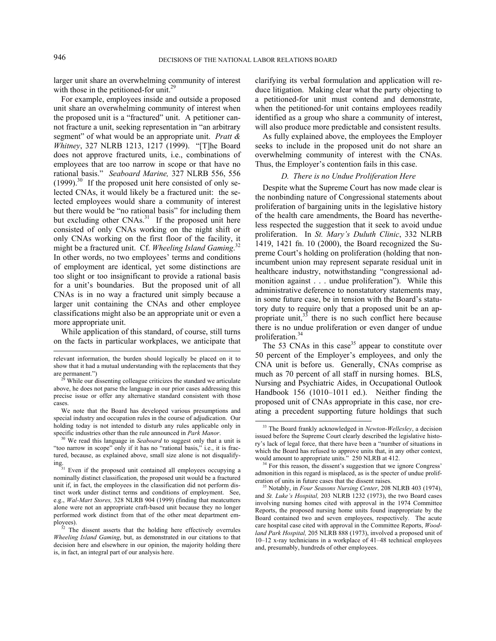l

larger unit share an overwhelming community of interest with those in the petitioned-for unit.<sup>29</sup>

For example, employees inside and outside a proposed unit share an overwhelming community of interest when the proposed unit is a "fractured" unit. A petitioner cannot fracture a unit, seeking representation in "an arbitrary segment" of what would be an appropriate unit. *Pratt & Whitney*, 327 NLRB 1213, 1217 (1999). "[T]he Board does not approve fractured units, i.e., combinations of employees that are too narrow in scope or that have no rational basis." *Seaboard Marine,* 327 NLRB 556, 556  $(1999)$ .<sup>30</sup> If the proposed unit here consisted of only selected CNAs, it would likely be a fractured unit: the selected employees would share a community of interest but there would be "no rational basis" for including them but excluding other  $CNAs.<sup>31</sup>$  If the proposed unit here consisted of only CNAs working on the night shift or only CNAs working on the first floor of the facility, it might be a fractured unit. Cf. *Wheeling Island Gaming*. 32 In other words, no two employees' terms and conditions of employment are identical, yet some distinctions are too slight or too insignificant to provide a rational basis for a unit's boundaries. But the proposed unit of all CNAs is in no way a fractured unit simply because a larger unit containing the CNAs and other employee classifications might also be an appropriate unit or even a more appropriate unit.

While application of this standard, of course, still turns on the facts in particular workplaces, we anticipate that clarifying its verbal formulation and application will reduce litigation. Making clear what the party objecting to a petitioned-for unit must contend and demonstrate, when the petitioned-for unit contains employees readily identified as a group who share a community of interest, will also produce more predictable and consistent results.

As fully explained above, the employees the Employer seeks to include in the proposed unit do not share an overwhelming community of interest with the CNAs. Thus, the Employer's contention fails in this case.

#### *D. There is no Undue Proliferation Here*

Despite what the Supreme Court has now made clear is the nonbinding nature of Congressional statements about proliferation of bargaining units in the legislative history of the health care amendments, the Board has nevertheless respected the suggestion that it seek to avoid undue proliferation. In *St. Mary's Duluth Clinic*, 332 NLRB 1419, 1421 fn. 10 (2000), the Board recognized the Supreme Court's holding on proliferation (holding that nonincumbent union may represent separate residual unit in healthcare industry, notwithstanding "congressional admonition against . . . undue proliferation"). While this administrative deference to nonstatutory statements may, in some future case, be in tension with the Board's statutory duty to require only that a proposed unit be an appropriate unit, $33$  there is no such conflict here because there is no undue proliferation or even danger of undue proliferation.<sup>34</sup>

The 53 CNAs in this case<sup>35</sup> appear to constitute over 50 percent of the Employer's employees, and only the CNA unit is before us. Generally, CNAs comprise as much as 70 percent of all staff in nursing homes. BLS, Nursing and Psychiatric Aides, in Occupational Outlook Handbook 156 (1010–1011 ed.). Neither finding the proposed unit of CNAs appropriate in this case, nor creating a precedent supporting future holdings that such

relevant information, the burden should logically be placed on it to show that it had a mutual understanding with the replacements that they are permanent.")<br><sup>29</sup> While our dissenting colleague criticizes the standard we articulate

above, he does not parse the language in our prior cases addressing this precise issue or offer any alternative standard consistent with those cases.

We note that the Board has developed various presumptions and special industry and occupation rules in the course of adjudication. Our holding today is not intended to disturb any rules applicable only in specific industries other than the rule announced in *Park Manor*. <sup>30</sup> We read this language in *Seaboard* to suggest only that a unit is

<sup>&</sup>quot;too narrow in scope" only if it has no "rational basis," i.e., it is fractured, because, as explained above, small size alone is not disqualify-

ing.<br><sup>31</sup> Even if the proposed unit contained all employees occupying a<br>**12.23** unit would be a fractured nominally distinct classification, the proposed unit would be a fractured unit if, in fact, the employees in the classification did not perform distinct work under distinct terms and conditions of employment. See, e.g., *Wal-Mart Stores,* 328 NLRB 904 (1999) (finding that meatcutters alone were not an appropriate craft-based unit because they no longer performed work distinct from that of the other meat department employees). 32 The dissent asserts that the holding here effectively overrules

*Wheeling Island Gaming*, but, as demonstrated in our citations to that decision here and elsewhere in our opinion, the majority holding there is, in fact, an integral part of our analysis here.

 <sup>33</sup> The Board frankly acknowledged in *Newton-Wellesley*, a decision issued before the Supreme Court clearly described the legislative history's lack of legal force, that there have been a "number of situations in which the Board has refused to approve units that, in any other context, would amount to appropriate units." 250 NLRB at 412.<br><sup>34</sup> For this reason, the dissent's suggestion that we ignore Congress'

admonition in this regard is misplaced, as is the specter of undue proliferation of units in future cases that the dissent raises. 35 Notably, in *Four Seasons Nursing Center*, 208 NLRB 403 (1974),

and *St. Luke's Hospital,* 203 NLRB 1232 (1973), the two Board cases involving nursing homes cited with approval in the 1974 Committee Reports, the proposed nursing home units found inappropriate by the Board contained two and seven employees, respectively. The acute care hospital case cited with approval in the Committee Reports, *Woodland Park Hospital,* 205 NLRB 888 (1973), involved a proposed unit of 10–12 x-ray technicians in a workplace of 41–48 technical employees and, presumably, hundreds of other employees.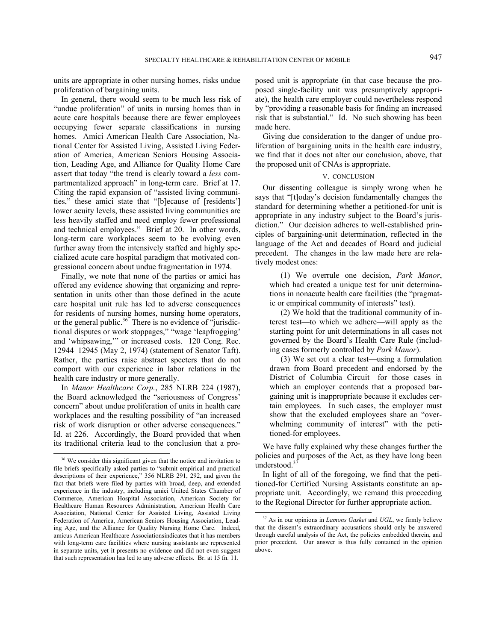units are appropriate in other nursing homes, risks undue proliferation of bargaining units.

In general, there would seem to be much less risk of "undue proliferation" of units in nursing homes than in acute care hospitals because there are fewer employees occupying fewer separate classifications in nursing homes. Amici American Health Care Association, National Center for Assisted Living, Assisted Living Federation of America, American Seniors Housing Association, Leading Age, and Alliance for Quality Home Care assert that today "the trend is clearly toward a *less* compartmentalized approach" in long-term care. Brief at 17. Citing the rapid expansion of "assisted living communities," these amici state that "[b]ecause of [residents'] lower acuity levels, these assisted living communities are less heavily staffed and need employ fewer professional and technical employees." Brief at 20. In other words, long-term care workplaces seem to be evolving even further away from the intensively staffed and highly specialized acute care hospital paradigm that motivated congressional concern about undue fragmentation in 1974.

Finally, we note that none of the parties or amici has offered any evidence showing that organizing and representation in units other than those defined in the acute care hospital unit rule has led to adverse consequences for residents of nursing homes, nursing home operators, or the general public. $36$  There is no evidence of "jurisdictional disputes or work stoppages," "wage 'leapfrogging' and 'whipsawing,'" or increased costs. 120 Cong. Rec. 12944–12945 (May 2, 1974) (statement of Senator Taft). Rather, the parties raise abstract specters that do not comport with our experience in labor relations in the health care industry or more generally.

In *Manor Healthcare Corp.*, 285 NLRB 224 (1987), the Board acknowledged the "seriousness of Congress' concern" about undue proliferation of units in health care workplaces and the resulting possibility of "an increased risk of work disruption or other adverse consequences." Id. at 226. Accordingly, the Board provided that when its traditional criteria lead to the conclusion that a proposed unit is appropriate (in that case because the proposed single-facility unit was presumptively appropriate), the health care employer could nevertheless respond by "providing a reasonable basis for finding an increased risk that is substantial." Id. No such showing has been made here.

Giving due consideration to the danger of undue proliferation of bargaining units in the health care industry, we find that it does not alter our conclusion, above, that the proposed unit of CNAs is appropriate.

### V. CONCLUSION

Our dissenting colleague is simply wrong when he says that "[t]oday's decision fundamentally changes the standard for determining whether a petitioned-for unit is appropriate in any industry subject to the Board's jurisdiction." Our decision adheres to well-established principles of bargaining-unit determination, reflected in the language of the Act and decades of Board and judicial precedent. The changes in the law made here are relatively modest ones:

(1) We overrule one decision, *Park Manor*, which had created a unique test for unit determinations in nonacute health care facilities (the "pragmatic or empirical community of interests" test).

(2) We hold that the traditional community of interest test—to which we adhere—will apply as the starting point for unit determinations in all cases not governed by the Board's Health Care Rule (including cases formerly controlled by *Park Manor*).

(3) We set out a clear test—using a formulation drawn from Board precedent and endorsed by the District of Columbia Circuit—for those cases in which an employer contends that a proposed bargaining unit is inappropriate because it excludes certain employees. In such cases, the employer must show that the excluded employees share an "overwhelming community of interest" with the petitioned-for employees.

We have fully explained why these changes further the policies and purposes of the Act, as they have long been understood.<sup>37</sup>

In light of all of the foregoing, we find that the petitioned-for Certified Nursing Assistants constitute an appropriate unit. Accordingly, we remand this proceeding to the Regional Director for further appropriate action.

<sup>&</sup>lt;sup>36</sup> We consider this significant given that the notice and invitation to file briefs specifically asked parties to "submit empirical and practical descriptions of their experience," 356 NLRB 291, 292, and given the fact that briefs were filed by parties with broad, deep, and extended experience in the industry, including amici United States Chamber of Commerce, American Hospital Association, American Society for Healthcare Human Resources Administration, American Health Care Association, National Center for Assisted Living, Assisted Living Federation of America, American Seniors Housing Association, Leading Age, and the Alliance for Quality Nursing Home Care. Indeed, amicus American Healthcare Associationsindicates that it has members with long-term care facilities where nursing assistants are represented in separate units, yet it presents no evidence and did not even suggest that such representation has led to any adverse effects. Br. at 15 fn. 11.

 <sup>37</sup> As in our opinions in *Lamons Gasket* and *UGL*, we firmly believe that the dissent's extraordinary accusations should only be answered through careful analysis of the Act, the policies embedded therein, and prior precedent. Our answer is thus fully contained in the opinion above.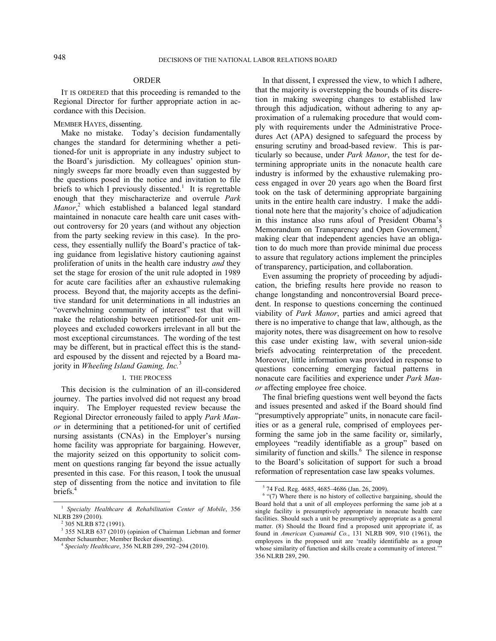### ORDER

IT IS ORDERED that this proceeding is remanded to the Regional Director for further appropriate action in accordance with this Decision.

MEMBER HAYES, dissenting.

Make no mistake. Today's decision fundamentally changes the standard for determining whether a petitioned-for unit is appropriate in any industry subject to the Board's jurisdiction. My colleagues' opinion stunningly sweeps far more broadly even than suggested by the questions posed in the notice and invitation to file briefs to which I previously dissented.<sup>1</sup> It is regrettable enough that they mischaracterize and overrule *Park Manor*, 2 which established a balanced legal standard maintained in nonacute care health care unit cases without controversy for 20 years (and without any objection from the party seeking review in this case). In the process, they essentially nullify the Board's practice of taking guidance from legislative history cautioning against proliferation of units in the health care industry *and* they set the stage for erosion of the unit rule adopted in 1989 for acute care facilities after an exhaustive rulemaking process. Beyond that, the majority accepts as the definitive standard for unit determinations in all industries an "overwhelming community of interest" test that will make the relationship between petitioned-for unit employees and excluded coworkers irrelevant in all but the most exceptional circumstances. The wording of the test may be different, but in practical effect this is the standard espoused by the dissent and rejected by a Board majority in *Wheeling Island Gaming, Inc.*<sup>3</sup>

#### I. THE PROCESS

This decision is the culmination of an ill-considered journey. The parties involved did not request any broad inquiry. The Employer requested review because the Regional Director erroneously failed to apply *Park Manor* in determining that a petitioned-for unit of certified nursing assistants (CNAs) in the Employer's nursing home facility was appropriate for bargaining. However, the majority seized on this opportunity to solicit comment on questions ranging far beyond the issue actually presented in this case. For this reason, I took the unusual step of dissenting from the notice and invitation to file briefs.<sup>4</sup>

In that dissent, I expressed the view, to which I adhere, that the majority is overstepping the bounds of its discretion in making sweeping changes to established law through this adjudication, without adhering to any approximation of a rulemaking procedure that would comply with requirements under the Administrative Procedures Act (APA) designed to safeguard the process by ensuring scrutiny and broad-based review. This is particularly so because, under *Park Manor*, the test for determining appropriate units in the nonacute health care industry is informed by the exhaustive rulemaking process engaged in over 20 years ago when the Board first took on the task of determining appropriate bargaining units in the entire health care industry. I make the additional note here that the majority's choice of adjudication in this instance also runs afoul of President Obama's Memorandum on Transparency and Open Government,<sup>5</sup> making clear that independent agencies have an obligation to do much more than provide minimal due process to assure that regulatory actions implement the principles of transparency, participation, and collaboration.

Even assuming the propriety of proceeding by adjudication, the briefing results here provide no reason to change longstanding and noncontroversial Board precedent. In response to questions concerning the continued viability of *Park Manor*, parties and amici agreed that there is no imperative to change that law, although, as the majority notes, there was disagreement on how to resolve this case under existing law, with several union-side briefs advocating reinterpretation of the precedent. Moreover, little information was provided in response to questions concerning emerging factual patterns in nonacute care facilities and experience under *Park Manor* affecting employee free choice.

The final briefing questions went well beyond the facts and issues presented and asked if the Board should find "presumptively appropriate" units, in nonacute care facilities or as a general rule, comprised of employees performing the same job in the same facility or, similarly, employees "readily identifiable as a group" based on similarity of function and skills.<sup>6</sup> The silence in response to the Board's solicitation of support for such a broad reformation of representation case law speaks volumes.

 <sup>1</sup> *Specialty Healthcare & Rehabilitation Center of Mobile*, 356 NLRB 289 (2010).

<sup>&</sup>lt;sup>2</sup> 305 NLRB 872 (1991).

<sup>&</sup>lt;sup>3</sup> 355 NLRB 637 (2010) (opinion of Chairman Liebman and former Member Schaumber; Member Becker dissenting). 4 *Specialty Healthcare*, 356 NLRB 289, 292–294 (2010).

 <sup>5</sup> 74 Fed. Reg. 4685, 4685–4686 (Jan. 26, 2009).

 $6$  "(7) Where there is no history of collective bargaining, should the Board hold that a unit of all employees performing the same job at a single facility is presumptively appropriate in nonacute health care facilities. Should such a unit be presumptively appropriate as a general matter. (8) Should the Board find a proposed unit appropriate if, as found in *American Cyanamid Co.*, 131 NLRB 909, 910 (1961), the employees in the proposed unit are 'readily identifiable as a group whose similarity of function and skills create a community of interest." 356 NLRB 289, 290.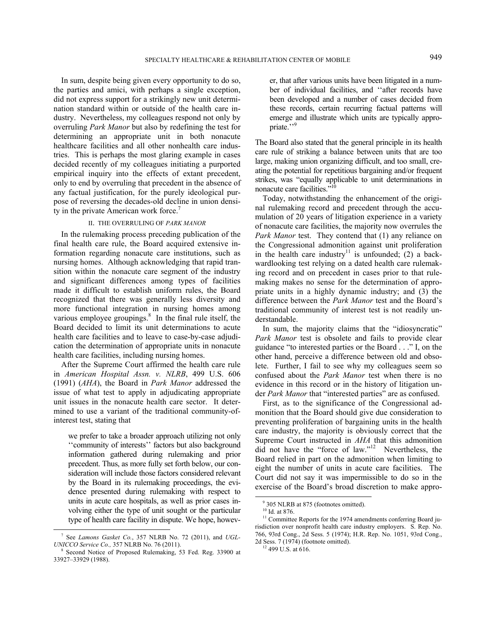In sum, despite being given every opportunity to do so, the parties and amici, with perhaps a single exception, did not express support for a strikingly new unit determination standard within or outside of the health care industry. Nevertheless, my colleagues respond not only by overruling *Park Manor* but also by redefining the test for determining an appropriate unit in both nonacute healthcare facilities and all other nonhealth care industries. This is perhaps the most glaring example in cases decided recently of my colleagues initiating a purported empirical inquiry into the effects of extant precedent, only to end by overruling that precedent in the absence of any factual justification, for the purely ideological purpose of reversing the decades-old decline in union density in the private American work force.<sup>7</sup>

### II. THE OVERRULING OF *PARK MANOR*

In the rulemaking process preceding publication of the final health care rule, the Board acquired extensive information regarding nonacute care institutions, such as nursing homes. Although acknowledging that rapid transition within the nonacute care segment of the industry and significant differences among types of facilities made it difficult to establish uniform rules, the Board recognized that there was generally less diversity and more functional integration in nursing homes among various employee groupings. $8$  In the final rule itself, the Board decided to limit its unit determinations to acute health care facilities and to leave to case-by-case adjudication the determination of appropriate units in nonacute health care facilities, including nursing homes.

After the Supreme Court affirmed the health care rule in *American Hospital Assn. v. NLRB*, 499 U.S. 606 (1991) (*AHA*), the Board in *Park Manor* addressed the issue of what test to apply in adjudicating appropriate unit issues in the nonacute health care sector. It determined to use a variant of the traditional community-ofinterest test, stating that

we prefer to take a broader approach utilizing not only ''community of interests'' factors but also background information gathered during rulemaking and prior precedent. Thus, as more fully set forth below, our consideration will include those factors considered relevant by the Board in its rulemaking proceedings, the evidence presented during rulemaking with respect to units in acute care hospitals, as well as prior cases involving either the type of unit sought or the particular type of health care facility in dispute. We hope, however, that after various units have been litigated in a number of individual facilities, and ''after records have been developed and a number of cases decided from these records, certain recurring factual patterns will emerge and illustrate which units are typically appropriate."<sup>9</sup>

The Board also stated that the general principle in its health care rule of striking a balance between units that are too large, making union organizing difficult, and too small, creating the potential for repetitious bargaining and/or frequent strikes, was "equally applicable to unit determinations in nonacute care facilities."<sup>10</sup>

Today, notwithstanding the enhancement of the original rulemaking record and precedent through the accumulation of 20 years of litigation experience in a variety of nonacute care facilities, the majority now overrules the *Park Manor* test. They contend that (1) any reliance on the Congressional admonition against unit proliferation in the health care industry<sup>11</sup> is unfounded; (2) a backwardlooking test relying on a dated health care rulemaking record and on precedent in cases prior to that rulemaking makes no sense for the determination of appropriate units in a highly dynamic industry; and (3) the difference between the *Park Manor* test and the Board's traditional community of interest test is not readily understandable.

In sum, the majority claims that the "idiosyncratic" *Park Manor* test is obsolete and fails to provide clear guidance "to interested parties or the Board . . ." I, on the other hand, perceive a difference between old and obsolete. Further, I fail to see why my colleagues seem so confused about the *Park Manor* test when there is no evidence in this record or in the history of litigation under *Park Manor* that "interested parties" are as confused.

First, as to the significance of the Congressional admonition that the Board should give due consideration to preventing proliferation of bargaining units in the health care industry, the majority is obviously correct that the Supreme Court instructed in *AHA* that this admonition did not have the "force of law."12 Nevertheless, the Board relied in part on the admonition when limiting to eight the number of units in acute care facilities. The Court did not say it was impermissible to do so in the exercise of the Board's broad discretion to make appro-

 <sup>7</sup> See *Lamons Gasket Co.*, 357 NLRB No. 72 (2011), and *UGL-UNICCO Service Co., 357 NLRB No. 76 (2011).* 

Second Notice of Proposed Rulemaking, 53 Fed. Reg. 33900 at 33927–33929 (1988).

 <sup>9</sup> 305 NLRB at 875 (footnotes omitted).

 $10$  Id. at 876.

<sup>&</sup>lt;sup>11</sup> Committee Reports for the 1974 amendments conferring Board jurisdiction over nonprofit health care industry employers. S. Rep. No. 766, 93rd Cong., 2d Sess. 5 (1974); H.R. Rep. No. 1051, 93rd Cong., 2d Sess. 7 (1974) (footnote omitted). 12 499 U.S. at 616.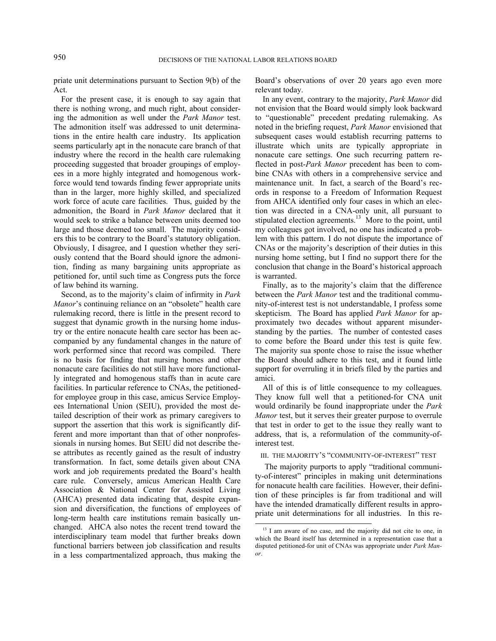priate unit determinations pursuant to Section 9(b) of the Act.

For the present case, it is enough to say again that there is nothing wrong, and much right, about considering the admonition as well under the *Park Manor* test. The admonition itself was addressed to unit determinations in the entire health care industry. Its application seems particularly apt in the nonacute care branch of that industry where the record in the health care rulemaking proceeding suggested that broader groupings of employees in a more highly integrated and homogenous workforce would tend towards finding fewer appropriate units than in the larger, more highly skilled, and specialized work force of acute care facilities. Thus, guided by the admonition, the Board in *Park Manor* declared that it would seek to strike a balance between units deemed too large and those deemed too small. The majority considers this to be contrary to the Board's statutory obligation. Obviously, I disagree, and I question whether they seriously contend that the Board should ignore the admonition, finding as many bargaining units appropriate as petitioned for, until such time as Congress puts the force of law behind its warning.

Second, as to the majority's claim of infirmity in *Park Manor*'s continuing reliance on an "obsolete" health care rulemaking record, there is little in the present record to suggest that dynamic growth in the nursing home industry or the entire nonacute health care sector has been accompanied by any fundamental changes in the nature of work performed since that record was compiled. There is no basis for finding that nursing homes and other nonacute care facilities do not still have more functionally integrated and homogenous staffs than in acute care facilities. In particular reference to CNAs, the petitionedfor employee group in this case, amicus Service Employees International Union (SEIU), provided the most detailed description of their work as primary caregivers to support the assertion that this work is significantly different and more important than that of other nonprofessionals in nursing homes. But SEIU did not describe these attributes as recently gained as the result of industry transformation. In fact, some details given about CNA work and job requirements predated the Board's health care rule. Conversely, amicus American Health Care Association & National Center for Assisted Living (AHCA) presented data indicating that, despite expansion and diversification, the functions of employees of long-term health care institutions remain basically unchanged. AHCA also notes the recent trend toward the interdisciplinary team model that further breaks down functional barriers between job classification and results in a less compartmentalized approach, thus making the

Board's observations of over 20 years ago even more relevant today.

In any event, contrary to the majority, *Park Manor* did not envision that the Board would simply look backward to "questionable" precedent predating rulemaking. As noted in the briefing request, *Park Manor* envisioned that subsequent cases would establish recurring patterns to illustrate which units are typically appropriate in nonacute care settings. One such recurring pattern reflected in post-*Park Manor* precedent has been to combine CNAs with others in a comprehensive service and maintenance unit. In fact, a search of the Board's records in response to a Freedom of Information Request from AHCA identified only four cases in which an election was directed in a CNA-only unit, all pursuant to stipulated election agreements.<sup>13</sup> More to the point, until my colleagues got involved, no one has indicated a problem with this pattern. I do not dispute the importance of CNAs or the majority's description of their duties in this nursing home setting, but I find no support there for the conclusion that change in the Board's historical approach is warranted.

Finally, as to the majority's claim that the difference between the *Park Manor* test and the traditional community-of-interest test is not understandable, I profess some skepticism. The Board has applied *Park Manor* for approximately two decades without apparent misunderstanding by the parties. The number of contested cases to come before the Board under this test is quite few. The majority sua sponte chose to raise the issue whether the Board should adhere to this test, and it found little support for overruling it in briefs filed by the parties and amici.

All of this is of little consequence to my colleagues. They know full well that a petitioned-for CNA unit would ordinarily be found inappropriate under the *Park Manor* test, but it serves their greater purpose to overrule that test in order to get to the issue they really want to address, that is, a reformulation of the community-ofinterest test.

III. THE MAJORITY'S "COMMUNITY-OF-INTEREST" TEST

 The majority purports to apply "traditional community-of-interest" principles in making unit determinations for nonacute health care facilities. However, their definition of these principles is far from traditional and will have the intended dramatically different results in appropriate unit determinations for all industries. In this re-

<sup>&</sup>lt;sup>13</sup> I am aware of no case, and the majority did not cite to one, in which the Board itself has determined in a representation case that a disputed petitioned-for unit of CNAs was appropriate under *Park Manor*.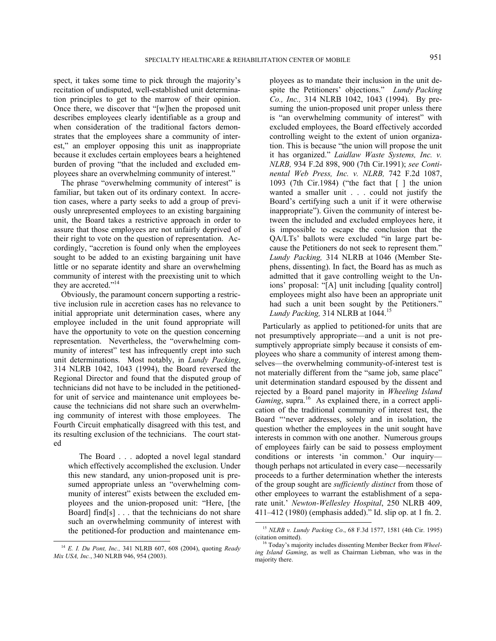spect, it takes some time to pick through the majority's recitation of undisputed, well-established unit determination principles to get to the marrow of their opinion. Once there, we discover that "[w]hen the proposed unit describes employees clearly identifiable as a group and when consideration of the traditional factors demonstrates that the employees share a community of interest," an employer opposing this unit as inappropriate because it excludes certain employees bears a heightened burden of proving "that the included and excluded employees share an overwhelming community of interest."

The phrase "overwhelming community of interest" is familiar, but taken out of its ordinary context. In accretion cases, where a party seeks to add a group of previously unrepresented employees to an existing bargaining unit, the Board takes a restrictive approach in order to assure that those employees are not unfairly deprived of their right to vote on the question of representation. Accordingly, "accretion is found only when the employees sought to be added to an existing bargaining unit have little or no separate identity and share an overwhelming community of interest with the preexisting unit to which they are accreted."<sup>14</sup>

Obviously, the paramount concern supporting a restrictive inclusion rule in accretion cases has no relevance to initial appropriate unit determination cases, where any employee included in the unit found appropriate will have the opportunity to vote on the question concerning representation. Nevertheless, the "overwhelming community of interest" test has infrequently crept into such unit determinations. Most notably, in *Lundy Packing*, 314 NLRB 1042, 1043 (1994), the Board reversed the Regional Director and found that the disputed group of technicians did not have to be included in the petitionedfor unit of service and maintenance unit employees because the technicians did not share such an overwhelming community of interest with those employees. The Fourth Circuit emphatically disagreed with this test, and its resulting exclusion of the technicians. The court stated

The Board . . . adopted a novel legal standard which effectively accomplished the exclusion. Under this new standard, any union-proposed unit is presumed appropriate unless an "overwhelming community of interest" exists between the excluded employees and the union-proposed unit: "Here, [the Board] find[s] . . . that the technicians do not share such an overwhelming community of interest with the petitioned-for production and maintenance employees as to mandate their inclusion in the unit despite the Petitioners' objections." *Lundy Packing Co., Inc.,* 314 NLRB 1042, 1043 (1994). By presuming the union-proposed unit proper unless there is "an overwhelming community of interest" with excluded employees, the Board effectively accorded controlling weight to the extent of union organization. This is because "the union will propose the unit it has organized." *Laidlaw Waste Systems, Inc. v. NLRB,* 934 F.2d 898, 900 (7th Cir.1991); *see Continental Web Press, Inc. v. NLRB,* 742 F.2d 1087, 1093 (7th Cir.1984) ("the fact that [ ] the union wanted a smaller unit . . . could not justify the Board's certifying such a unit if it were otherwise inappropriate"). Given the community of interest between the included and excluded employees here, it is impossible to escape the conclusion that the QA/LTs' ballots were excluded "in large part because the Petitioners do not seek to represent them." *Lundy Packing,* 314 NLRB at 1046 (Member Stephens, dissenting). In fact, the Board has as much as admitted that it gave controlling weight to the Unions' proposal: "[A] unit including [quality control] employees might also have been an appropriate unit had such a unit been sought by the Petitioners." *Lundy Packing,* 314 NLRB at 1044.<sup>15</sup>

Particularly as applied to petitioned-for units that are not presumptively appropriate—and a unit is not presumptively appropriate simply because it consists of employees who share a community of interest among themselves—the overwhelming community-of-interest test is not materially different from the "same job, same place" unit determination standard espoused by the dissent and rejected by a Board panel majority in *Wheeling Island Gaming*, supra.<sup>16</sup> As explained there, in a correct application of the traditional community of interest test, the Board "'never addresses, solely and in isolation, the question whether the employees in the unit sought have interests in common with one another. Numerous groups of employees fairly can be said to possess employment conditions or interests 'in common.' Our inquiry though perhaps not articulated in every case—necessarily proceeds to a further determination whether the interests of the group sought are *sufficiently distinct* from those of other employees to warrant the establishment of a separate unit.' *Newton-Wellesley Hospital*, 250 NLRB 409, 411–412 (1980) (emphasis added)." Id. slip op. at 1 fn. 2.

 <sup>14</sup> *E. I. Du Pont, Inc.,* 341 NLRB 607, 608 (2004), quoting *Ready Mix USA, Inc.*, 340 NLRB 946, 954 (2003).

 <sup>15</sup> *NLRB v. Lundy Packing Co*., 68 F.3d 1577, 1581 (4th Cir. 1995)

Today's majority includes dissenting Member Becker from *Wheeling Island Gaming*, as well as Chairman Liebman, who was in the majority there.